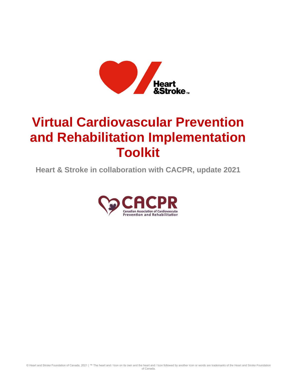

# **Virtual Cardiovascular Prevention and Rehabilitation Implementation Toolkit**

**Heart & Stroke in collaboration with CACPR, update 2021**



© Heart and Stroke Foundation of Canada, 2021 | ™ The heart and / Icon on its own and the heart and / Icon followed by another icon or words are trademarks of the Heart and Stroke Foundation of Canada.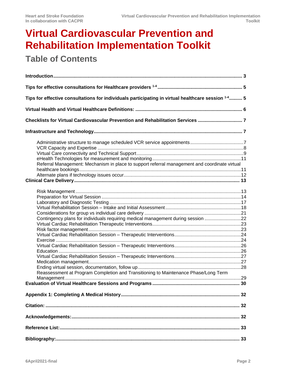# **Virtual Cardiovascular Prevention and Rehabilitation Implementation Toolkit**

# **Table of Contents**

| Tips for effective consultations for individuals participating in virtual healthcare session 14 5                                                                       |  |
|-------------------------------------------------------------------------------------------------------------------------------------------------------------------------|--|
|                                                                                                                                                                         |  |
| Checklists for Virtual Cardiovascular Prevention and Rehabilitation Services 7                                                                                          |  |
|                                                                                                                                                                         |  |
| Referral Management: Mechanism in place to support referral management and coordinate virtual                                                                           |  |
| Contingency plans for individuals requiring medical management during session 22<br>Reassessment at Program Completion and Transitioning to Maintenance Phase/Long Term |  |
|                                                                                                                                                                         |  |
|                                                                                                                                                                         |  |
|                                                                                                                                                                         |  |
|                                                                                                                                                                         |  |
|                                                                                                                                                                         |  |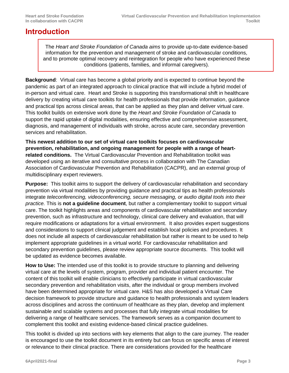### <span id="page-2-0"></span>**Introduction**

The *Heart and Stroke Foundation of Canada aims* to provide up-to-date evidence-based information for the prevention and management of stroke and cardiovascular conditions, and to promote optimal recovery and reintegration for people who have experienced these conditions (patients, families, and informal caregivers).

**Background**: Virtual care has become a global priority and is expected to continue beyond the pandemic as part of an integrated approach to clinical practice that will include a hybrid model of in-person and virtual care. Heart and Stroke is supporting this transformational shift in healthcare delivery by creating virtual care toolkits for health professionals that provide information, guidance and practical tips across clinical areas, that can be applied as they plan and deliver virtual care. This toolkit builds on extensive work done by the *Heart and Stroke Foundation of Canada* to support the rapid uptake of digital modalities, ensuring effective and comprehensive assessment, diagnosis, and management of individuals with stroke, across acute care, secondary prevention services and rehabilitation.

**This newest addition to our set of virtual care toolkits focuses on cardiovascular prevention, rehabilitation, and ongoing management for people with a range of heartrelated conditions.** The Virtual Cardiovascular Prevention and Rehabilitation toolkit was developed using an iterative and consultative process in collaboration with The Canadian Association of Cardiovascular Prevention and Rehabilitation (CACPR), and an external group of multidisciplinary expert reviewers.

**Purpose:** This toolkit aims to support the delivery of cardiovascular rehabilitation and secondary prevention via virtual modalities by providing guidance and practical tips as health professionals integrate *teleconferencing, videoconferencing, secure messaging, or audio digital tools into their practice.* This is **not a guideline document**, but rather a complementary toolkit to support virtual care. The toolkit highlights areas and components of cardiovascular rehabilitation and secondary prevention, such as infrastructure and technology, clinical care delivery and evaluation, that will require modifications or adaptations for a virtual environment. It also provides expert suggestions and considerations to support clinical judgement and establish local policies and procedures. It does not include all aspects of cardiovascular rehabilitation but rather is meant to be used to help implement appropriate guidelines in a virtual world. For cardiovascular rehabilitation and secondary prevention guidelines, please review appropriate source documents. This toolkit will be updated as evidence becomes available.

**How to Use:** The intended use of this toolkit is to provide structure to planning and delivering virtual care at the levels of system, program, provider and individual patient encounter. The content of this toolkit will enable clinicians to effectively participate in virtual cardiovascular secondary prevention and rehabilitation visits, after the individual or group members involved have been determined appropriate for virtual care. H&S has also developed a Virtual Care decision framework to provide structure and guidance to health professionals and system leaders across disciplines and across the continuum of healthcare as they plan, develop and implement sustainable and scalable systems and processes that fully integrate virtual modalities for delivering a range of healthcare services. The framework serves as a companion document to complement this toolkit and existing evidence-based clinical practice guidelines.

This toolkit is divided up into sections with key elements that align to the care journey. The reader is encouraged to use the toolkit document in its entirety but can focus on specific areas of interest or relevance to their clinical practice. There are considerations provided for the healthcare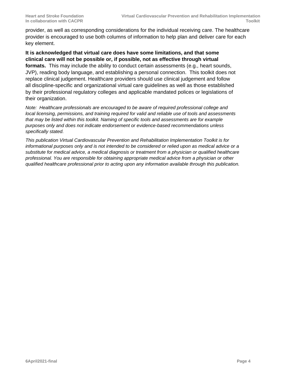provider, as well as corresponding considerations for the individual receiving care. The healthcare provider is encouraged to use both columns of information to help plan and deliver care for each key element.

**It is acknowledged that virtual care does have some limitations, and that some clinical care will not be possible or, if possible, not as effective through virtual formats.** This may include the ability to conduct certain assessments (e.g., heart sounds, JVP), reading body language, and establishing a personal connection. This toolkit does not replace clinical judgement. Healthcare providers should use clinical judgement and follow all discipline-specific and organizational virtual care guidelines as well as those established by their professional regulatory colleges and applicable mandated polices or legislations of their organization.

*Note: Healthcare professionals are encouraged to be aware of required professional college and local licensing, permissions, and training required for valid and reliable use of tools and assessments that may be listed within this toolkit. Naming of specific tools and assessments are for example purposes only and does not indicate endorsement or evidence-based recommendations unless specifically stated.*

*This publication Virtual Cardiovascular Prevention and Rehabilitation Implementation Toolkit is for informational purposes only and is not intended to be considered or relied upon as medical advice or a substitute for medical advice, a medical diagnosis or treatment from a physician or qualified healthcare professional. You are responsible for obtaining appropriate medical advice from a physician or other qualified healthcare professional prior to acting upon any information available through this publication.*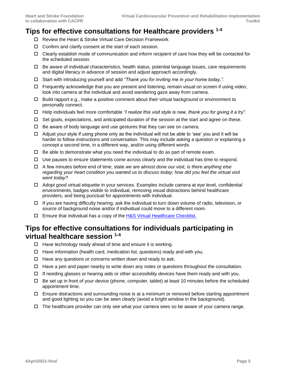## <span id="page-4-0"></span>**Tips for effective consultations for Healthcare providers 1-4**

- □ Review the Heart & Stroke Virtual Care Decision Framework
- $\Box$  Confirm and clarify consent at the start of each session.
- Clearly establish mode of communication and inform recipient of care how they will be contacted for the scheduled session.
- $\Box$  Be aware of individual characteristics, health status, potential language issues, care requirements and digital literacy in advance of session and adjust approach accordingly.
- Start with introducing yourself and add *"Thank you for inviting me in your home today,".*
- $\Box$  Frequently acknowledge that you are present and listening, remain visual on screen if using video, look into camera at the individual and avoid wandering gaze away from camera.
- $\Box$  Build rapport e.g., make a positive comment about their virtual background or environment to personally connect.
- Help individuals feel more comfortable *"I realize this visit style is new, thank you for giving it a try".*
- $\Box$  Set goals, expectations, and anticipated duration of the session at the start and agree on these.
- $\Box$  Be aware of body language and use gestures that they can see on camera.
- $\Box$  Adjust your style if using phone only as the individual will not be able to 'see' you and it will be harder to follow instructions and conversation. This may include asking a question or explaining a concept a second time, in a different way, and/or using different words.
- $\Box$  Be able to demonstrate what you need the individual to do as part of remote exam.
- $\Box$  Use pauses to ensure statements come across clearly and the individual has time to respond.
- A few minutes before end of time, state *we are almost done our visit, is there anything else regarding your heart condition you wanted us to discuss today; how did you feel the virtual visit went today?*
- $\Box$  Adopt good virtual etiquette in your services. Examples include camera at eye level, confidential environments, badges visible to individual, removing visual distractions behind healthcare providers, and being punctual for appointments with individual.
- $\Box$  If you are having difficulty hearing, ask the individual to turn down volume of radio, television, or source of background noise and/or if individual could move to a different room.
- Ensure that individual has a copy of the [H&S Virtual Healthcare Checklist.](https://www.heartandstroke.ca/-/media/1-stroke-best-practices/resources/patient-resources/csbp-infographic-virtual-healthcare-checklist)

### <span id="page-4-1"></span>**Tips for effective consultations for individuals participating in virtual healthcare session 1-4**

- $\Box$  Have technology ready ahead of time and ensure it is working.
- $\Box$  Have information (health card, medication list, questions) ready and with you.
- $\Box$  Have any questions or concerns written down and ready to ask.
- $\Box$  Have a pen and paper nearby to write down any notes or questions throughout the consultation.
- $\Box$  If needing glasses or hearing aids or other accessibility devices have them ready and with you.
- $\Box$  Be set up in front of your device (phone, computer, tablet) at least 10 minutes before the scheduled appointment time.
- $\Box$  Ensure distractions and surrounding noise is at a minimum or removed before starting appointment and good lighting so you can be seen clearly (avoid a bright window in the background).
- $\Box$  The healthcare provider can only see what your camera sees so be aware of your camera range.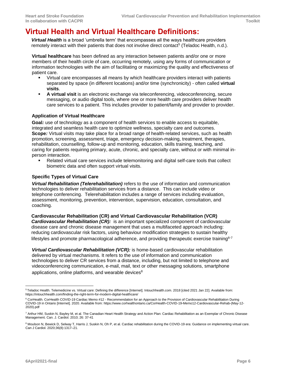# <span id="page-5-0"></span>**Virtual Health and Virtual Healthcare Definitions:**

**Virtual Health** is a broad 'umbrella term' that encompasses all the ways healthcare providers remotely interact with their patients that does not involve direct contact<sup>5</sup> (Teladoc Health, n.d.).

**Virtual healthcare** has been defined as any interaction between patients and/or one or more members of their health circle of care, occurring remotely, using any forms of communication or information technologies with the aim of facilitating or maximizing the quality and effectiveness of patient care.

- Virtual care encompasses all means by which healthcare providers interact with patients separated by space (in different locations) and/or time (synchronicity) - often called **virtual visits**.
- **EXECT A virtual visit** is an electronic exchange via teleconferencing, videoconferencing, secure messaging, or audio digital tools, where one or more health care providers deliver health care services to a patient. This includes provider to patient/family and provider to provider.

#### **Application of Virtual Healthcare**

**Goal***:* use of technology as a component of health services to enable access to equitable, integrated and seamless health care to optimize wellness, specialty care and outcomes. **Scope***:* Virtual visits may take place for a broad range of health-related services, such as health promotion, screening, assessment, triage, emergency decision-making, treatment, therapies, rehabilitation, counselling, follow-up and monitoring, education, skills training, teaching, and caring for patients requiring primary, acute, chronic, and specialty care, without or with minimal inperson interaction.

Related virtual care services include telemonitoring and digital self-care tools that collect biometric data and often support virtual visits.

#### **Specific Types of Virtual Care**

*Virtual Rehabilitation (Telerehabilitation)* refers to the use of information and communication technologies to deliver rehabilitation services from a distance. This can include video or telephone conferencing. Telerehabilitation includes a range of services including evaluation, assessment, monitoring, prevention, intervention, supervision, education, consultation, and coaching.

**Cardiovascular Rehabilitation (CR) and Virtual Cardiovascular Rehabilitation (VCR)** *Cardiovascular Rehabilitation (CR):* is an important specialized component of cardiovascular disease care and chronic disease management that uses a multifaceted approach including: reducing cardiovascular risk factors, using behaviour modification strategies to sustain healthy lifestyles and promote pharmacological adherence, and providing therapeutic exercise training $6-7$ 

*Virtual Cardiovascular Rehabilitation (VCR):* is home-based cardiovascular rehabilitation delivered by virtual mechanisms. It refers to the use of information and communication technologies to deliver CR services from a distance, including, but not limited to telephone and videoconferencing communication, e-mail, mail, text or other messaging solutions, smartphone applications, online platforms, and wearable devices $8$ 

<sup>5</sup>Teladoc Health. Telemedicine vs. Virtual care: Defining the difference [Internet]. Intouchhealth.com. 2018 [cited 2021 Jan 22]. Available from: https://intouchhealth.com/finding-the-right-term-for-modern-digital-healthcare/

<sup>&</sup>lt;sup>6</sup> CorHealth. CorHealth COVID-19 Cardiac Memo #12 - Recommendation for an Approach to the Provision of Cardiovascular Rehabilitation During COVID-19 in Ontario [Internet]. 2020. Available from[: https://www.corhealthontario.ca/CorHealth-COVID-19-Memo12-Cardiovascular-Rehab-\(May-12-](https://www.corhealthontario.ca/CorHealth-COVID-19-Memo12-Cardiovascular-Rehab-(May-12-2020).pdf) [2020\).pdf](https://www.corhealthontario.ca/CorHealth-COVID-19-Memo12-Cardiovascular-Rehab-(May-12-2020).pdf)

<sup>7</sup> Arthur HM, Suskin N, Bayley M, et al. The Canadian Heart Health Strategy and Action Plan: Cardiac Rehabilitation as an Exemplar of Chronic Disease Management. Can. J. Cardiol. 2010; 26: 37-41

<sup>8</sup> Moulson N, Bewick D, Selway T, Harris J, Suskin N, Oh P, et al. Cardiac rehabilitation during the COVID-19 era: Guidance on implementing virtual care. Can J Cardiol. 2020;36(8):1317–21.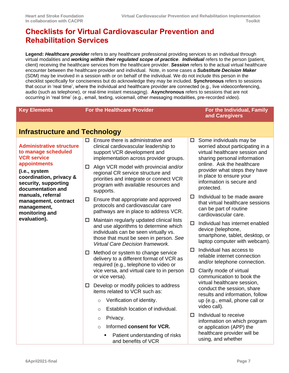# <span id="page-6-0"></span>**Checklists for Virtual Cardiovascular Prevention and Rehabilitation Services**

**Legend:** *Healthcare provider* refers to any healthcare professional providing services to an individual through virtual modalities and *working within their regulated scope of practice*. *Individual* refers to the person (patient, client) receiving the healthcare services from the healthcare provider. *Session* refers to the actual virtual healthcare encounter between the healthcare provider and individual. Note, in some cases a *Substitute Decision Maker* (SDM) may be involved in a session with or on behalf of the individual. We do not include this person in the checklist specifically for conciseness but do acknowledge they may be included. **Synchronous** refers to sessions that occur in 'real time', where the individual and healthcare provider are connected (e.g., live videoconferencing, audio (such as telephone), or real-time instant messaging). **Asynchronous** refers to sessions that are not occurring in 'real time' (e.g., email, texting, voicemail, other messaging modalities, pre-recorded video).

<span id="page-6-2"></span><span id="page-6-1"></span>

| <b>Key Elements</b>                                                                                                                                                                   |        | <b>For the Healthcare Provider</b>                                                                                                                                                                                                                                                                                                            | For the Individual, Family<br>and Caregivers |                                                                                                                                                                                                                                                                    |
|---------------------------------------------------------------------------------------------------------------------------------------------------------------------------------------|--------|-----------------------------------------------------------------------------------------------------------------------------------------------------------------------------------------------------------------------------------------------------------------------------------------------------------------------------------------------|----------------------------------------------|--------------------------------------------------------------------------------------------------------------------------------------------------------------------------------------------------------------------------------------------------------------------|
| <b>Infrastructure and Technology</b>                                                                                                                                                  |        |                                                                                                                                                                                                                                                                                                                                               |                                              |                                                                                                                                                                                                                                                                    |
| <b>Administrative structure</b><br>to manage scheduled<br><b>VCR service</b><br>appointments<br>(i.e., system<br>coordination, privacy &<br>security, supporting<br>documentation and | □      | $\square$ Ensure there is administrative and<br>clinical cardiovascular leadership to<br>support VCR development and<br>implementation across provider groups.<br>Align VCR model with provincial and/or<br>regional CR service structure and<br>priorities and integrate or connect VCR<br>program with available resources and<br>supports. | $\Box$                                       | Some individuals may be<br>worried about participating in a<br>virtual healthcare session and<br>sharing personal information<br>online. Ask the healthcare<br>provider what steps they have<br>in place to ensure your<br>information is secure and<br>protected. |
| manuals, referral<br>management, contract<br>management,<br>monitoring and<br>evaluation).                                                                                            | $\Box$ | Ensure that appropriate and approved<br>protocols and cardiovascular care<br>pathways are in place to address VCR.                                                                                                                                                                                                                            |                                              | Individual to be made aware<br>that virtual healthcare sessions<br>can be part of routine<br>cardiovascular care.                                                                                                                                                  |
|                                                                                                                                                                                       | $\Box$ | Maintain regularly updated clinical lists<br>and use algorithms to determine which<br>individuals can be seen virtually vs.<br>those that must be seen in person. See<br><b>Virtual Care Decision framework.</b>                                                                                                                              |                                              | Individual has internet enabled<br>device (telephone,<br>smartphone, tablet, desktop, or<br>laptop computer with webcam).                                                                                                                                          |
|                                                                                                                                                                                       | $\Box$ | Method or system to change service<br>delivery to a different format of VCR as<br>required (e.g., telephone to video or                                                                                                                                                                                                                       |                                              | Individual has access to<br>reliable internet connection<br>and/or telephone connection.                                                                                                                                                                           |
|                                                                                                                                                                                       |        | vice versa, and virtual care to in person<br>or vice versa).                                                                                                                                                                                                                                                                                  | $\Box$<br>0                                  | Clarify mode of virtual<br>communication to book the<br>virtual healthcare session,<br>conduct the session, share<br>results and information, follow                                                                                                               |
|                                                                                                                                                                                       | □      | Develop or modify policies to address<br>items related to VCR such as:                                                                                                                                                                                                                                                                        |                                              |                                                                                                                                                                                                                                                                    |
|                                                                                                                                                                                       |        | Verification of identity.<br>$\circ$                                                                                                                                                                                                                                                                                                          |                                              | up (e.g., email, phone call or                                                                                                                                                                                                                                     |
|                                                                                                                                                                                       |        | Establish location of individual.<br>$\Omega$                                                                                                                                                                                                                                                                                                 |                                              | video call).                                                                                                                                                                                                                                                       |
|                                                                                                                                                                                       |        | Privacy.<br>$\circ$                                                                                                                                                                                                                                                                                                                           |                                              | Individual to receive<br>information on which program                                                                                                                                                                                                              |
|                                                                                                                                                                                       |        |                                                                                                                                                                                                                                                                                                                                               | Informed consent for VCR.<br>$\circ$         |                                                                                                                                                                                                                                                                    |
|                                                                                                                                                                                       |        | Patient understanding of risks<br>and benefits of VCR                                                                                                                                                                                                                                                                                         |                                              | using, and whether                                                                                                                                                                                                                                                 |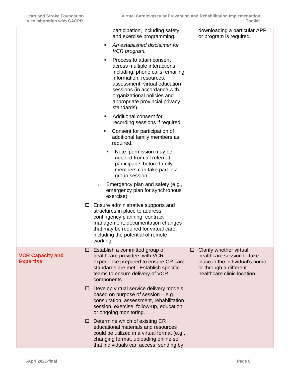<span id="page-7-0"></span>

|                                             | participation, including safety<br>and exercise programming.<br>An established disclaimer for<br>٠                                                                                                                                                                              | downloading a particular APP<br>or program is required.                                                                                               |
|---------------------------------------------|---------------------------------------------------------------------------------------------------------------------------------------------------------------------------------------------------------------------------------------------------------------------------------|-------------------------------------------------------------------------------------------------------------------------------------------------------|
|                                             | VCR program.<br>Process to attain consent<br>٠<br>across multiple interactions<br>including: phone calls, emailing<br>information, resources,<br>assessment, virtual education<br>sessions (in accordance with<br>organizational policies and<br>appropriate provincial privacy |                                                                                                                                                       |
|                                             | standards).<br>Additional consent for<br>٠<br>recording sessions if required.                                                                                                                                                                                                   |                                                                                                                                                       |
|                                             | Consent for participation of<br>٠<br>additional family members as<br>required.                                                                                                                                                                                                  |                                                                                                                                                       |
|                                             | Note: permission may be<br>٠<br>needed from all referred<br>participants before family<br>members can take part in a<br>group session.                                                                                                                                          |                                                                                                                                                       |
|                                             | Emergency plan and safety (e.g.,<br>$\circ$<br>emergency plan for synchronous<br>exercise).                                                                                                                                                                                     |                                                                                                                                                       |
|                                             | Ensure administrative supports and<br>$\Box$<br>structures in place to address<br>contingency planning, contract<br>management, documentation changes<br>that may be required for virtual care,<br>including the potential of remote<br>working.                                |                                                                                                                                                       |
| <b>VCR Capacity and</b><br><b>Expertise</b> | Establish a committed group of<br>□<br>healthcare providers with VCR<br>experience prepared to ensure CR care<br>standards are met. Establish specific<br>teams to ensure delivery of VCR<br>components.                                                                        | Clarify whether virtual<br>□<br>healthcare session to take<br>place in the individual's home<br>or through a different<br>healthcare clinic location. |
|                                             | Develop virtual service delivery models<br>ш<br>based on purpose of session $-$ e.g.,<br>consultation, assessment, rehabilitation<br>session, exercise, follow-up, education,<br>or ongoing monitoring.                                                                         |                                                                                                                                                       |
|                                             | $\Box$ Determine which of existing CR<br>educational materials and resources<br>could be utilized in a virtual format (e.g.,<br>changing format, uploading online so<br>that individuals can access, sending by                                                                 |                                                                                                                                                       |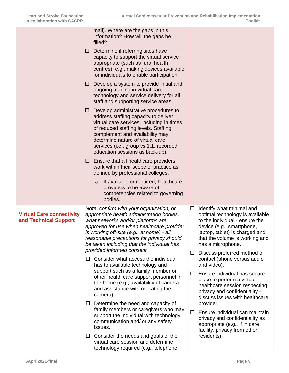<span id="page-8-0"></span>

|                                                           |   | mail). Where are the gaps in this<br>information? How will the gaps be<br>filled?                                                                                                                                                                                                                                     |             |                                                                                                                                                                                                                      |
|-----------------------------------------------------------|---|-----------------------------------------------------------------------------------------------------------------------------------------------------------------------------------------------------------------------------------------------------------------------------------------------------------------------|-------------|----------------------------------------------------------------------------------------------------------------------------------------------------------------------------------------------------------------------|
|                                                           | ப | Determine if referring sites have<br>capacity to support the virtual service if<br>appropriate (such as rural health<br>centres); e.g., making devices available<br>for individuals to enable participation.                                                                                                          |             |                                                                                                                                                                                                                      |
|                                                           | ப | Develop a system to provide initial and<br>ongoing training in virtual care<br>technology and service delivery for all<br>staff and supporting service areas.                                                                                                                                                         |             |                                                                                                                                                                                                                      |
|                                                           | ப | Develop administrative procedures to<br>address staffing capacity to deliver<br>virtual care services, including in times<br>of reduced staffing levels. Staffing<br>complement and availability may<br>determine nature of virtual care<br>services (i.e., group vs 1:1, recorded<br>education sessions as back-up). |             |                                                                                                                                                                                                                      |
|                                                           |   | $\Box$ Ensure that all healthcare providers<br>work within their scope of practice as<br>defined by professional colleges.                                                                                                                                                                                            |             |                                                                                                                                                                                                                      |
|                                                           |   | If available or required, healthcare<br>$\circ$<br>providers to be aware of<br>competencies related to governing<br>bodies.                                                                                                                                                                                           |             |                                                                                                                                                                                                                      |
| <b>Virtual Care connectivity</b><br>and Technical Support |   | Note, confirm with your organization, or<br>appropriate health administration bodies,<br>what networks and/or platforms are<br>approved for use when healthcare provider<br>is working off-site (e.g., at home) - all<br>reasonable precautions for privacy should<br>be taken including that the individual has      | □           | Identify what minimal and<br>optimal technology is available<br>to the individual - ensure the<br>device (e.g., smartphone,<br>laptop, tablet) is charged and<br>that the volume is working and<br>has a microphone. |
|                                                           |   | provided informed consent.<br>$\Box$ Consider what access the individual<br>has to available technology and                                                                                                                                                                                                           | □<br>$\Box$ | Discuss preferred method of<br>contact (phone versus audio<br>and video).                                                                                                                                            |
|                                                           |   | support such as a family member or<br>other health care support personnel in<br>the home (e.g., availability of camera<br>and assistance with operating the<br>camera).                                                                                                                                               |             | Ensure individual has secure<br>place to perform a virtual<br>healthcare session respecting<br>privacy and confidentiality -<br>discuss issues with healthcare                                                       |
|                                                           |   | $\Box$ Determine the need and capacity of<br>family members or caregivers who may<br>support the individual with technology,<br>communication and/ or any safety<br>issues.                                                                                                                                           | □           | provider.<br>Ensure individual can maintain<br>privacy and confidentiality as<br>appropriate (e.g., if in care<br>facility, privacy from other                                                                       |
|                                                           | ш | Consider the needs and goals of the<br>virtual care session and determine<br>technology required (e.g., telephone,                                                                                                                                                                                                    |             | residents).                                                                                                                                                                                                          |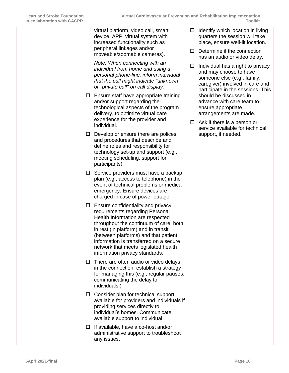| <u>CUNADULANUN WILII CACFN</u> |        |                                                                                                                                                                                                                                                                                                                                                         |        |   |
|--------------------------------|--------|---------------------------------------------------------------------------------------------------------------------------------------------------------------------------------------------------------------------------------------------------------------------------------------------------------------------------------------------------------|--------|---|
|                                |        | virtual platform, video call, smart<br>device, APP, virtual system with<br>increased functionality such as<br>peripheral linkages and/or<br>moveable/zoomable cameras).                                                                                                                                                                                 | □<br>□ | C |
|                                |        | Note: When connecting with an<br>individual from home and using a<br>personal phone-line, inform individual<br>that the call might indicate "unknown"<br>or "private call" on call display.                                                                                                                                                             | п      | C |
|                                |        | $\Box$ Ensure staff have appropriate training<br>and/or support regarding the<br>technological aspects of the program<br>delivery, to optimize virtual care<br>experience for the provider and<br>individual.                                                                                                                                           | □      | S |
|                                |        | $\square$ Develop or ensure there are polices<br>and procedures that describe and<br>define roles and responsibility for<br>technology set-up and support (e.g.,<br>meeting scheduling, support for<br>participants).                                                                                                                                   |        |   |
|                                | $\Box$ | Service providers must have a backup<br>plan (e.g., access to telephone) in the<br>event of technical problems or medical<br>emergency. Ensure devices are<br>charged in case of power outage.                                                                                                                                                          |        |   |
|                                | □.     | Ensure confidentiality and privacy<br>requirements regarding Personal<br>Health Information are respected<br>throughout the continuum of care; both<br>in rest (in platform) and in transit<br>(between platforms) and that patient<br>information is transferred on a secure<br>network that meets legislated health<br>information privacy standards. |        |   |
|                                |        | $\Box$ There are often audio or video delays<br>in the connection; establish a strategy<br>for managing this (e.g., regular pauses,<br>communicating the delay to<br>individuals.)                                                                                                                                                                      |        |   |
|                                | $\Box$ | Consider plan for technical support<br>available for providers and individuals if<br>providing services directly to<br>individual's homes. Communicate<br>available support to individual.                                                                                                                                                              |        |   |
|                                | $\Box$ | If available, have a co-host and/or<br>administrative support to troubleshoot<br>any issues.                                                                                                                                                                                                                                                            |        |   |

- dentify which location in living quarters the session will take place, ensure well-lit location.
- Determine if the connection has an audio or video delay.
- ndividual has a right to privacy and may choose to have someone else (e.g., family, caregiver) involved in care and participate in the sessions. This should be discussed in advance with care team to ensure appropriate arrangements are made.
- Ask if there is a person or service available for technical support, if needed.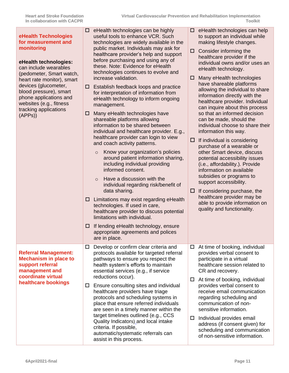<span id="page-10-1"></span><span id="page-10-0"></span>

| eHealth Technologies<br>for measurement and<br>monitoring<br>eHealth technologies:<br>can include wearables<br>(pedometer, Smart watch,<br>heart rate monitor), smart<br>devices (glucometer,<br>blood pressure), smart<br>phone applications and<br>websites (e.g., fitness<br>tracking applications<br>(APPs) | $\Box$ eHealth technologies can be highly<br>useful tools to enhance VCR. Such<br>technologies are widely available in the<br>public market. Individuals may ask for<br>healthcare provider's help and support<br>before purchasing and using any of<br>these. Note: Evidence for eHealth<br>technologies continues to evolve and<br>increase validation.<br>Establish feedback loops and practice<br>$\Box$<br>for interpretation of information from<br>eHealth technology to inform ongoing<br>management.<br>Many eHealth technologies have<br>ப<br>shareable platforms allowing<br>information to be shared between<br>individual and healthcare provider. E.g.,<br>healthcare provider can login to view<br>and coach activity patterns.<br>Know your organization's policies<br>$\circ$<br>around patient information sharing,<br>including individual providing<br>informed consent.<br>Have a discussion with the<br>$\Omega$<br>individual regarding risk/benefit of<br>data sharing.<br>Limitations may exist regarding eHealth<br>ப<br>technologies. If used in care,<br>healthcare provider to discuss potential<br>limitations with individual.<br>If lending eHealth technology, ensure<br>ப<br>appropriate agreements and polices<br>are in place. | $\Box$ eHealth technologies can help<br>to support an individual while<br>making lifestyle changes.<br>Consider informing the<br>□<br>healthcare provider if the<br>individual owns and/or uses an<br>eHealth technology.<br>Many eHealth technologies<br>□<br>have shareable platforms<br>allowing the individual to share<br>information directly with the<br>healthcare provider. Individual<br>can inquire about this process<br>so that an informed decision<br>can be made, should the<br>individual choose to share their<br>information this way.<br>0<br>If individual is considering<br>purchase of a wearable or<br>other Smart device, discuss<br>potential accessibility issues<br>(i.e., affordability.). Provide<br>information on available<br>subsidies or programs to<br>support accessibility.<br>If considering purchase, the<br>ц<br>healthcare provider may be<br>able to provide information on<br>quality and functionality. |
|-----------------------------------------------------------------------------------------------------------------------------------------------------------------------------------------------------------------------------------------------------------------------------------------------------------------|--------------------------------------------------------------------------------------------------------------------------------------------------------------------------------------------------------------------------------------------------------------------------------------------------------------------------------------------------------------------------------------------------------------------------------------------------------------------------------------------------------------------------------------------------------------------------------------------------------------------------------------------------------------------------------------------------------------------------------------------------------------------------------------------------------------------------------------------------------------------------------------------------------------------------------------------------------------------------------------------------------------------------------------------------------------------------------------------------------------------------------------------------------------------------------------------------------------------------------------------------------------------|------------------------------------------------------------------------------------------------------------------------------------------------------------------------------------------------------------------------------------------------------------------------------------------------------------------------------------------------------------------------------------------------------------------------------------------------------------------------------------------------------------------------------------------------------------------------------------------------------------------------------------------------------------------------------------------------------------------------------------------------------------------------------------------------------------------------------------------------------------------------------------------------------------------------------------------------------|
| <b>Referral Management:</b><br><b>Mechanism in place to</b><br>support referral<br>management and<br>coordinate virtual<br>healthcare bookings                                                                                                                                                                  | Develop or confirm clear criteria and<br>$\Box$<br>protocols available for targeted referral<br>pathways to ensure you respect the<br>health system's efforts to maintain<br>essential services (e.g., if service<br>reductions occur).<br>Ensure consulting sites and individual<br>$\Box$<br>healthcare providers have triage<br>protocols and scheduling systems in<br>place that ensure referred individuals<br>are seen in a timely manner within the<br>target timelines outlined (e.g., CCS<br>Quality Indicators)_and local intake<br>criteria. If possible,<br>automatic/systematic referrals can<br>assist in this process.                                                                                                                                                                                                                                                                                                                                                                                                                                                                                                                                                                                                                              | At time of booking, individual<br>$\Box$<br>provides verbal consent to<br>participate in a virtual<br>healthcare session related to<br>CR and recovery.<br>At time of booking, individual<br>$\Box$<br>provides verbal consent to<br>receive email communication<br>regarding scheduling and<br>communication of non-<br>sensitive information.<br>Individual provides email<br>$\Box$<br>address (if consent given) for<br>scheduling and communication<br>of non-sensitive information.                                                                                                                                                                                                                                                                                                                                                                                                                                                            |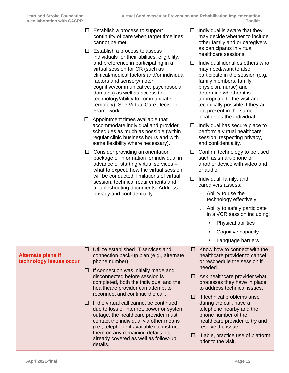<span id="page-11-0"></span>

|                                                      |                                                                                                                                                                                                                                                                                                                         | $\square$ Establish a process to support<br>continuity of care when target timelines<br>cannot be met.<br>Establish a process to assess<br>$\Box$<br>individuals for their abilities, eligibility,                                                       |                                                                                                                                                                                                                                                                                                            | Individual is aware that they<br>may decide whether to include<br>other family and or caregivers<br>as participants in virtual<br>healthcare sessions.                                                 |
|------------------------------------------------------|-------------------------------------------------------------------------------------------------------------------------------------------------------------------------------------------------------------------------------------------------------------------------------------------------------------------------|----------------------------------------------------------------------------------------------------------------------------------------------------------------------------------------------------------------------------------------------------------|------------------------------------------------------------------------------------------------------------------------------------------------------------------------------------------------------------------------------------------------------------------------------------------------------------|--------------------------------------------------------------------------------------------------------------------------------------------------------------------------------------------------------|
|                                                      | and preference in participating in a<br>virtual session for CR (such as<br>clinical/medical factors and/or individual<br>factors and sensory/motor,<br>cognitive/communicative, psychosocial<br>domains) as well as access to<br>technology/ability to communicate<br>remotely). See Virtual Care Decision<br>Framework | □                                                                                                                                                                                                                                                        | Individual identifies others who<br>may need/want to also<br>participate in the session (e.g.,<br>family members, family<br>physician, nurse) and<br>determine whether it is<br>appropriate to the visit and<br>technically possible if they are<br>not present in the same<br>location as the individual. |                                                                                                                                                                                                        |
|                                                      | $\Box$                                                                                                                                                                                                                                                                                                                  | Appointment times available that<br>accommodate individual and provider<br>schedules as much as possible (within<br>regular clinic business hours and with<br>some flexibility where necessary).                                                         | ப                                                                                                                                                                                                                                                                                                          | Individual has secure place to<br>perform a virtual healthcare<br>session, respecting privacy,<br>and confidentiality.                                                                                 |
|                                                      | $\Box$                                                                                                                                                                                                                                                                                                                  | Consider providing an orientation<br>package of information for individual in<br>advance of starting virtual services -<br>what to expect, how the virtual session                                                                                       | $\Box$                                                                                                                                                                                                                                                                                                     | Confirm technology to be used<br>such as smart-phone or<br>another device with video and<br>or audio.                                                                                                  |
|                                                      |                                                                                                                                                                                                                                                                                                                         | will be conducted, limitations of virtual<br>session, technical requirements and<br>troubleshooting documents. Address                                                                                                                                   | 0                                                                                                                                                                                                                                                                                                          | Individual, family, and<br>caregivers assess:                                                                                                                                                          |
|                                                      |                                                                                                                                                                                                                                                                                                                         | privacy and confidentiality.                                                                                                                                                                                                                             |                                                                                                                                                                                                                                                                                                            | Ability to use the<br>$\circ$<br>technology effectively.                                                                                                                                               |
|                                                      |                                                                                                                                                                                                                                                                                                                         |                                                                                                                                                                                                                                                          |                                                                                                                                                                                                                                                                                                            | Ability to safely participate<br>$\circ$<br>in a VCR session including:                                                                                                                                |
|                                                      |                                                                                                                                                                                                                                                                                                                         |                                                                                                                                                                                                                                                          |                                                                                                                                                                                                                                                                                                            | <b>Physical abilities</b>                                                                                                                                                                              |
|                                                      |                                                                                                                                                                                                                                                                                                                         |                                                                                                                                                                                                                                                          |                                                                                                                                                                                                                                                                                                            | Cognitive capacity                                                                                                                                                                                     |
|                                                      |                                                                                                                                                                                                                                                                                                                         |                                                                                                                                                                                                                                                          |                                                                                                                                                                                                                                                                                                            | Language barriers                                                                                                                                                                                      |
| <b>Alternate plans if</b><br>technology issues occur | □                                                                                                                                                                                                                                                                                                                       | Utilize established IT services and<br>connection back-up plan (e.g., alternate<br>phone number).                                                                                                                                                        | □                                                                                                                                                                                                                                                                                                          | Know how to connect with the<br>healthcare provider to cancel<br>or reschedule the session if<br>needed.                                                                                               |
|                                                      | ⊔                                                                                                                                                                                                                                                                                                                       | If connection was initially made and<br>disconnected before session is<br>completed, both the individual and the<br>healthcare provider can attempt to<br>reconnect and continue the call.                                                               | ப<br>□                                                                                                                                                                                                                                                                                                     | $\Box$ Ask healthcare provider what<br>processes they have in place<br>to address technical issues.                                                                                                    |
|                                                      | ⊔                                                                                                                                                                                                                                                                                                                       | If the virtual call cannot be continued<br>due to loss of internet, power or system<br>outage, the healthcare provider must<br>contact the individual via other means<br>(i.e., telephone if available) to instruct<br>them on any remaining details not |                                                                                                                                                                                                                                                                                                            | If technical problems arise<br>during the call, have a<br>telephone nearby and the<br>phone number of the<br>healthcare provider to try and<br>resolve the issue.<br>If able, practice use of platform |
|                                                      |                                                                                                                                                                                                                                                                                                                         | already covered as well as follow-up<br>details.                                                                                                                                                                                                         |                                                                                                                                                                                                                                                                                                            | prior to the visit.                                                                                                                                                                                    |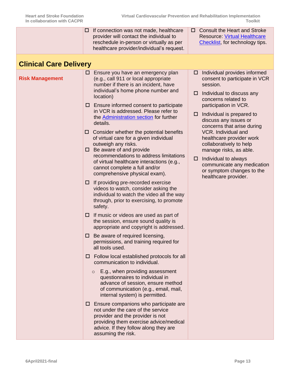<span id="page-12-1"></span><span id="page-12-0"></span>

|                               | □           | If connection was not made, healthcare<br>provider will contact the individual to<br>reschedule in-person or virtually as per<br>healthcare provider/individual's request.                                                   | □      | <b>Consult the Heart and Stroke</b><br><b>Resource: Virtual Healthcare</b><br>Checklist, for technology tips.                                                 |  |  |
|-------------------------------|-------------|------------------------------------------------------------------------------------------------------------------------------------------------------------------------------------------------------------------------------|--------|---------------------------------------------------------------------------------------------------------------------------------------------------------------|--|--|
| <b>Clinical Care Delivery</b> |             |                                                                                                                                                                                                                              |        |                                                                                                                                                               |  |  |
| <b>Risk Management</b>        |             | $\Box$ Ensure you have an emergency plan<br>(e.g., call 911 or local appropriate<br>number if there is an incident, have<br>individual's home phone number and<br>location)<br>$\Box$ Ensure informed consent to participate | □      | $\Box$ Individual provides informed<br>consent to participate in VCR<br>session.<br>Individual to discuss any<br>concerns related to<br>participation in VCR. |  |  |
|                               |             | in VCR is addressed. Please refer to<br>the <b>Administration section</b> for further<br>details.<br>Consider whether the potential benefits                                                                                 | □      | Individual is prepared to<br>discuss any issues or<br>concerns that arise during<br><b>VCR.</b> Individual and                                                |  |  |
|                               | $\Box$<br>0 | of virtual care for a given individual<br>outweigh any risks.<br>Be aware of and provide                                                                                                                                     |        | healthcare provider work<br>collaboratively to help<br>manage risks, as able.                                                                                 |  |  |
|                               |             | recommendations to address limitations<br>of virtual healthcare interactions (e.g.,<br>cannot complete a full and/or<br>comprehensive physical exam).                                                                        | $\Box$ | Individual to always<br>communicate any medication<br>or symptom changes to the<br>healthcare provider.                                                       |  |  |
|                               | □           | If providing pre-recorded exercise<br>videos to watch, consider asking the<br>individual to watch the video all the way<br>through, prior to exercising, to promote<br>safety.                                               |        |                                                                                                                                                               |  |  |
|                               | ш           | If music or videos are used as part of<br>the session, ensure sound quality is<br>appropriate and copyright is addressed.                                                                                                    |        |                                                                                                                                                               |  |  |
|                               | 0           | Be aware of required licensing,<br>permissions, and training required for<br>all tools used.                                                                                                                                 |        |                                                                                                                                                               |  |  |
|                               |             | $\Box$ Follow local established protocols for all<br>communication to individual.                                                                                                                                            |        |                                                                                                                                                               |  |  |
|                               |             | E.g., when providing assessment<br>$\circ$<br>questionnaires to individual in<br>advance of session, ensure method<br>of communication (e.g., email, mail,<br>internal system) is permitted.                                 |        |                                                                                                                                                               |  |  |
|                               |             | Ensure companions who participate are<br>not under the care of the service<br>provider and the provider is not<br>providing them exercise advice/medical<br>advice. If they follow along they are<br>assuming the risk.      |        |                                                                                                                                                               |  |  |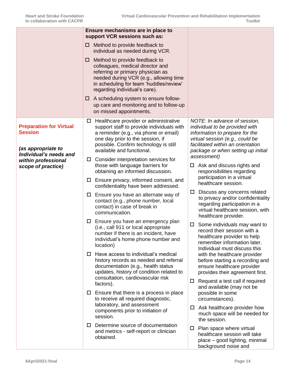<span id="page-13-0"></span>

|                                                                        |                                | Ensure mechanisms are in place to<br>support VCR sessions such as:                                                                                                                                                           |        |                                                                                                                                                                                                                |
|------------------------------------------------------------------------|--------------------------------|------------------------------------------------------------------------------------------------------------------------------------------------------------------------------------------------------------------------------|--------|----------------------------------------------------------------------------------------------------------------------------------------------------------------------------------------------------------------|
|                                                                        | ப                              | Method to provide feedback to<br>individual as needed during VCR.                                                                                                                                                            |        |                                                                                                                                                                                                                |
|                                                                        | □                              | Method to provide feedback to<br>colleagues, medical director and<br>referring or primary physician as<br>needed during VCR (e.g., allowing time<br>in scheduling for team 'huddles/review'<br>regarding individual's care). |        |                                                                                                                                                                                                                |
|                                                                        | □<br>on missed appointments.   | A scheduling system to ensure follow-<br>up care and monitoring and to follow-up                                                                                                                                             |        |                                                                                                                                                                                                                |
| <b>Preparation for Virtual</b><br><b>Session</b><br>(as appropriate to | □<br>available and functional. | Healthcare provider or administrative<br>support staff to provide individuals with<br>a reminder (e.g., via phone or email)<br>one day prior to the session, if<br>possible. Confirm technology is still                     |        | NOTE: In advance of session,<br>individual to be provided with<br>information to prepare for the<br>virtual session (e.g., could be<br>facilitated within an orientation<br>package or when setting up initial |
| Individual's needs and<br>within professional<br>scope of practice)    | $\Box$                         | Consider interpretation services for<br>those with language barriers for<br>obtaining an informed discussion.                                                                                                                | ш      | assessment)<br>Ask and discuss rights and<br>responsibilities regarding<br>participation in a virtual<br>healthcare session.                                                                                   |
|                                                                        | $\Box$                         | Ensure privacy, informed consent, and<br>confidentiality have been addressed.                                                                                                                                                |        |                                                                                                                                                                                                                |
|                                                                        | communication.                 | $\square$ Ensure you have an alternate way of<br>contact (e.g., phone number, local<br>contact) in case of break in                                                                                                          | □<br>ப | Discuss any concerns related<br>to privacy and/or confidentiality<br>regarding participation in a<br>virtual healthcare session, with<br>healthcare provider.                                                  |
|                                                                        | $\Box$<br>location)            | Ensure you have an emergency plan<br>(i.e., call 911 or local appropriate<br>number if there is an incident, have<br>individual's home phone number and                                                                      |        | Some individuals may want to<br>record their session with a<br>healthcare provider to help<br>remember information later.                                                                                      |
|                                                                        | $\Box$                         | Have access to individual's medical<br>history records as needed and referral<br>documentation (e.g., health status<br>updates, history of condition related to                                                              |        | Individual must discuss this<br>with the healthcare provider<br>before starting a recording and<br>ensure healthcare provider<br>provides their agreement first.                                               |
|                                                                        | factors).<br>ப                 | consultation, cardiovascular risk<br>Ensure that there is a process in place                                                                                                                                                 | ப      | Request a test call if required<br>and available (may not be<br>possible in some                                                                                                                               |
|                                                                        | session.                       | to receive all required diagnostic,<br>laboratory, and assessment<br>components prior to initiation of                                                                                                                       | $\Box$ | circumstances).<br>Ask healthcare provider how<br>much space will be needed for<br>the session.                                                                                                                |
|                                                                        | ப<br>obtained.                 | Determine source of documentation<br>and metrics - self-report or clinician                                                                                                                                                  |        | $\Box$ Plan space where virtual<br>healthcare session will take<br>place – good lighting, minimal<br>background noise and                                                                                      |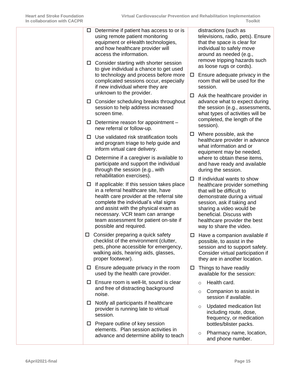|  |               | $\Box$ Determine if patient has access to or is<br>using remote patient monitoring<br>equipment or eHealth technologies,<br>and how healthcare provider will<br>access the information.                                                                                                                                |        |         | distractions (such as<br>televisions, radio, pets). Ensure<br>that the space is clear for<br>individual to safely move<br>around as needed (e.g.,                                                                                                                          |  |
|--|---------------|------------------------------------------------------------------------------------------------------------------------------------------------------------------------------------------------------------------------------------------------------------------------------------------------------------------------|--------|---------|----------------------------------------------------------------------------------------------------------------------------------------------------------------------------------------------------------------------------------------------------------------------------|--|
|  |               | $\Box$ Consider starting with shorter session<br>to give individual a chance to get used<br>to technology and process before more<br>complicated sessions occur, especially<br>if new individual where they are                                                                                                        | $\Box$ |         | remove tripping hazards such<br>as loose rugs or cords).<br>Ensure adequate privacy in the<br>room that will be used for the<br>session.                                                                                                                                   |  |
|  | $\Box$        | unknown to the provider.<br>Consider scheduling breaks throughout<br>session to help address increased<br>screen time.                                                                                                                                                                                                 | □      |         | Ask the healthcare provider in<br>advance what to expect during<br>the session (e.g., assessments,<br>what types of activities will be                                                                                                                                     |  |
|  | $\Box$        | Determine reason for appointment -<br>new referral or follow-up.                                                                                                                                                                                                                                                       |        |         | completed, the length of the<br>session).                                                                                                                                                                                                                                  |  |
|  | □             | Use validated risk stratification tools<br>and program triage to help guide and<br>inform virtual care delivery.                                                                                                                                                                                                       | □      |         | Where possible, ask the<br>healthcare provider in advance<br>what information and or<br>equipment may be needed,                                                                                                                                                           |  |
|  | □             | Determine if a caregiver is available to<br>participate and support the individual<br>through the session (e.g., with<br>rehabilitation exercises).                                                                                                                                                                    |        |         | where to obtain these items,<br>and have ready and available<br>during the session.                                                                                                                                                                                        |  |
|  | $\Box$        | If applicable: If this session takes place<br>in a referral healthcare site, have<br>health care provider at the referral site<br>complete the individual's vital signs<br>and assist with the physical exam as<br>necessary. VCR team can arrange<br>team assessment for patient on-site if<br>possible and required. | □      |         | If individual wants to show<br>healthcare provider something<br>that will be difficult to<br>demonstrate during a virtual<br>session, ask if taking and<br>sharing a video would be<br>beneficial. Discuss with<br>healthcare provider the best<br>way to share the video. |  |
|  | $\Box$        | Consider preparing a quick safety<br>checklist of the environment (clutter,<br>pets, phone accessible for emergency,<br>walking aids, hearing aids, glasses,<br>proper footwear).                                                                                                                                      |        |         | $\Box$ Have a companion available if<br>possible, to assist in the<br>session and to support safety.<br>Consider virtual participation if<br>they are in another location.                                                                                                 |  |
|  |               | $\Box$ Ensure adequate privacy in the room<br>used by the health care provider.                                                                                                                                                                                                                                        | □.     |         | Things to have readily<br>available for the session:                                                                                                                                                                                                                       |  |
|  |               | $\Box$ Ensure room is well-lit, sound is clear<br>and free of distracting background                                                                                                                                                                                                                                   |        | $\circ$ | Health card.                                                                                                                                                                                                                                                               |  |
|  |               | noise.                                                                                                                                                                                                                                                                                                                 |        | $\circ$ | Companion to assist in<br>session if available.                                                                                                                                                                                                                            |  |
|  | $\Box$<br>⊔ ⊢ | Notify all participants if healthcare<br>provider is running late to virtual<br>session.<br>Prepare outline of key session                                                                                                                                                                                             |        | $\circ$ | Updated medication list<br>including route, dose,<br>frequency, or medication<br>bottles/blister packs.                                                                                                                                                                    |  |
|  |               | elements. Plan session activities in<br>advance and determine ability to teach                                                                                                                                                                                                                                         |        | $\circ$ | Pharmacy name, location,<br>and phone number.                                                                                                                                                                                                                              |  |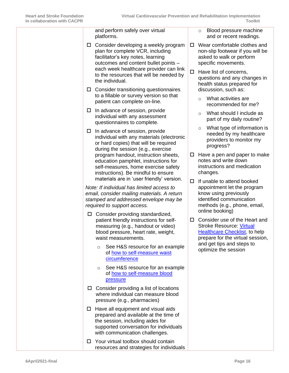and perform safely over virtual platforms.  $\Box$  Consider developing a weekly program plan for complete VCR, including facilitator's key notes, learning outcomes and content bullet points – each week healthcare provider can link to the resources that will be needed by the individual.  $\Box$  Consider transitioning questionnaires to a fillable or survey version so that patient can complete on-line.  $\Box$  In advance of session, provide individual with any assessment questionnaires to complete.  $\Box$  In advance of session, provide individual with any materials (electronic or hard copies) that will be required during the session (e.g., exercise program handout, instruction sheets, education pamphlet, instructions for self-measures, home exercise safety instructions). Be mindful to ensure materials are in 'user friendly' version. *Note: If individual has limited access to email, consider mailing materials. A return stamped and addressed envelope may be required to support access.*  $\Box$  Consider providing standardized, patient friendly instructions for selfmeasuring (e.g., handout or video) blood pressure, heart rate, weight, waist measurements. o See H&S resource for an example of how [to self-measure waist](https://www.heartandstroke.ca/healthy-living/healthy-weight/healthy-weight-and-waist)  **[circumference](https://www.heartandstroke.ca/healthy-living/healthy-weight/healthy-weight-and-waist)** o See H&S resource for an example of [how to self-measure blood](https://www.heartandstroke.ca/heart-disease/risk-and-prevention/condition-risk-factors/high-blood-pressure)  [pressure](https://www.heartandstroke.ca/heart-disease/risk-and-prevention/condition-risk-factors/high-blood-pressure)  $\Box$  Consider providing a list of locations where individual can measure blood pressure (e.g., pharmacies)  $\Box$  Have all equipment and visual aids prepared and available at the time of the session, including aides for supported conversation for individuals with communication challenges.  $\Box$  Your virtual toolbox should contain resources and strategies for individuals o Blood pressure machine and or recent readings. Wear comfortable clothes and non-slip footwear if you will be asked to walk or perform specific movements.  $\Box$  Have list of concerns, questions and any changes in health status prepared for discussion, such as: o What activities are recommended for me? o What should I include as part of my daily routine? o What type of information is needed by my healthcare providers to monitor my progress?  $\Box$  Have a pen and paper to make notes and write down instructions and medication changes.  $\Box$  If unable to attend booked appointment let the program know using previously identified communication methods (e.g., phone, email, online booking) □ Consider use of the Heart and Stroke Resource: [Virtual](https://www.heartandstroke.ca/-/media/1-stroke-best-practices/resources/patient-resources/csbp-infographic-virtual-healthcare-checklist)  [Healthcare Checklist,](https://www.heartandstroke.ca/-/media/1-stroke-best-practices/resources/patient-resources/csbp-infographic-virtual-healthcare-checklist) to help prepare for the virtual session, and get tips and steps to optimize the session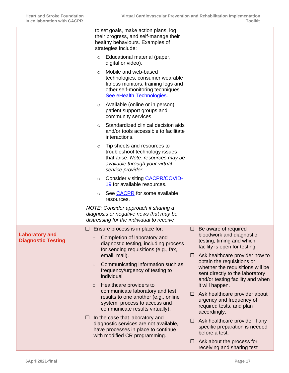<span id="page-16-0"></span>

|                                                    | to set goals, make action plans, log<br>their progress, and self-manage their<br>healthy behaviours. Examples of<br>strategies include:                                    |                                                                                                                                       |
|----------------------------------------------------|----------------------------------------------------------------------------------------------------------------------------------------------------------------------------|---------------------------------------------------------------------------------------------------------------------------------------|
|                                                    | Educational material (paper,<br>$\circ$<br>digital or video).                                                                                                              |                                                                                                                                       |
|                                                    | Mobile and web-based<br>$\circ$<br>technologies, consumer wearable<br>fitness monitors, training logs and<br>other self-monitoring techniques<br>See eHealth Technologies. |                                                                                                                                       |
|                                                    | Available (online or in person)<br>$\circ$<br>patient support groups and<br>community services.                                                                            |                                                                                                                                       |
|                                                    | Standardized clinical decision aids<br>$\circ$<br>and/or tools accessible to facilitate<br>interactions.                                                                   |                                                                                                                                       |
|                                                    | Tip sheets and resources to<br>$\circ$<br>troubleshoot technology issues<br>that arise. Note: resources may be<br>available through your virtual<br>service provider.      |                                                                                                                                       |
|                                                    | Consider visiting CACPR/COVID-<br>$\circ$<br>19 for available resources.                                                                                                   |                                                                                                                                       |
|                                                    | See CACPR for some available<br>O<br>resources.                                                                                                                            |                                                                                                                                       |
|                                                    | NOTE: Consider approach if sharing a<br>diagnosis or negative news that may be<br>distressing for the individual to receive                                                |                                                                                                                                       |
|                                                    | Ensure process is in place for:<br>ப                                                                                                                                       | Be aware of required<br>ப                                                                                                             |
| <b>Laboratory and</b><br><b>Diagnostic Testing</b> | Completion of laboratory and<br>$\circ$<br>diagnostic testing, including process<br>for sending requisitions (e.g., fax,                                                   | bloodwork and diagnostic<br>testing, timing and which<br>facility is open for testing.                                                |
|                                                    | email, mail).                                                                                                                                                              | $\Box$ Ask healthcare provider how to                                                                                                 |
|                                                    | Communicating information such as<br>$\circ$<br>frequency/urgency of testing to<br>individual<br>Healthcare providers to                                                   | obtain the requisitions or<br>whether the requisitions will be<br>sent directly to the laboratory<br>and/or testing facility and when |
|                                                    | $\circ$<br>communicate laboratory and test<br>results to one another (e.g., online<br>system, process to access and<br>communicate results virtually).                     | it will happen.<br>Ask healthcare provider about<br>ப<br>urgency and frequency of<br>required tests, and plan<br>accordingly.         |
|                                                    | In the case that laboratory and<br>□<br>diagnostic services are not available,<br>have processes in place to continue<br>with modified CR programming.                     | $\Box$ Ask healthcare provider if any<br>specific preparation is needed<br>before a test.                                             |
|                                                    |                                                                                                                                                                            | Ask about the process for<br>0<br>receiving and sharing test                                                                          |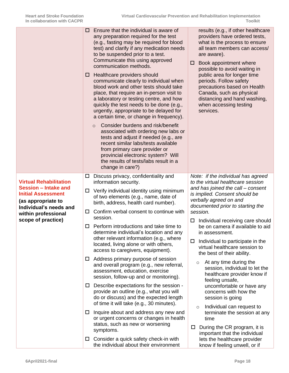<span id="page-17-0"></span>

|                                                                                                                                                                                 | 0<br>⊔                | Ensure that the individual is aware of<br>any preparation required for the test<br>(e.g., fasting may be required for blood<br>test) and clarify if any medication needs<br>to be suspended prior to a test.<br>Communicate this using approved<br>communication methods.<br>Healthcare providers should<br>communicate clearly to individual when<br>blood work and other tests should take<br>place, that require an in-person visit to<br>a laboratory or testing centre, and how<br>quickly the test needs to be done (e.g.,<br>urgently, appropriate to be delayed for<br>a certain time, or change in frequency).<br>Consider burdens and risk/benefit<br>$\circ$<br>associated with ordering new labs or<br>tests and adjust if needed (e.g., are<br>recent similar labs/tests available<br>from primary care provider or<br>provincial electronic system? Will<br>the results of tests/labs result in a<br>change in care?) | results (e.g., if other healthcare<br>providers have ordered tests,<br>what is the process to ensure<br>all team members can access/<br>are aware).<br>Book appointment where<br>□<br>possible to avoid waiting in<br>public area for longer time<br>periods. Follow safety<br>precautions based on Health<br>Canada, such as physical<br>distancing and hand washing,<br>when accessing testing<br>services. |
|---------------------------------------------------------------------------------------------------------------------------------------------------------------------------------|-----------------------|-------------------------------------------------------------------------------------------------------------------------------------------------------------------------------------------------------------------------------------------------------------------------------------------------------------------------------------------------------------------------------------------------------------------------------------------------------------------------------------------------------------------------------------------------------------------------------------------------------------------------------------------------------------------------------------------------------------------------------------------------------------------------------------------------------------------------------------------------------------------------------------------------------------------------------------|---------------------------------------------------------------------------------------------------------------------------------------------------------------------------------------------------------------------------------------------------------------------------------------------------------------------------------------------------------------------------------------------------------------|
| <b>Virtual Rehabilitation</b><br>Session - Intake and<br><b>Initial Assessment</b><br>(as appropriate to<br>Individual's needs and<br>within professional<br>scope of practice) | $\Box$<br>$\Box$<br>□ | Discuss privacy, confidentiality and<br>information security.<br>Verify individual identity using minimum<br>of two elements (e.g., name, date of<br>birth, address, health card number).<br>Confirm verbal consent to continue with<br>session.                                                                                                                                                                                                                                                                                                                                                                                                                                                                                                                                                                                                                                                                                    | Note: if the individual has agreed<br>to the virtual healthcare session<br>and has joined the call - consent<br>is implied. Consent should be<br>verbally agreed on and<br>documented prior to starting the<br>session.<br>Individual receiving care should<br>ப                                                                                                                                              |
|                                                                                                                                                                                 | □<br>Ц                | Perform introductions and take time to<br>determine individual's location and any<br>other relevant information (e.g., where<br>located, living alone or with others,<br>access to caregivers, equipment).<br>Address primary purpose of session                                                                                                                                                                                                                                                                                                                                                                                                                                                                                                                                                                                                                                                                                    | be on camera if available to aid<br>in assessment.<br>Individual to participate in the<br>□<br>virtual healthcare session to<br>the best of their ability.<br>At any time during the<br>$\circ$                                                                                                                                                                                                               |
|                                                                                                                                                                                 |                       | and overall program (e.g., new referral,<br>assessment, education, exercise<br>session, follow-up and or monitoring).<br>$\Box$ Describe expectations for the session -                                                                                                                                                                                                                                                                                                                                                                                                                                                                                                                                                                                                                                                                                                                                                             | session, individual to let the<br>healthcare provider know if<br>feeling unsafe,<br>uncomfortable or have any                                                                                                                                                                                                                                                                                                 |
|                                                                                                                                                                                 |                       | provide an outline (e.g., what you will<br>do or discuss) and the expected length<br>of time it will take (e.g., 30 minutes).                                                                                                                                                                                                                                                                                                                                                                                                                                                                                                                                                                                                                                                                                                                                                                                                       | concerns with how the<br>session is going<br>Individual can request to<br>$\circ$                                                                                                                                                                                                                                                                                                                             |
|                                                                                                                                                                                 | ப                     | Inquire about and address any new and<br>or urgent concerns or changes in health<br>status, such as new or worsening<br>symptoms.                                                                                                                                                                                                                                                                                                                                                                                                                                                                                                                                                                                                                                                                                                                                                                                                   | terminate the session at any<br>time<br>During the CR program, it is<br>$\Box$                                                                                                                                                                                                                                                                                                                                |
|                                                                                                                                                                                 | ப                     | Consider a quick safety check-in with<br>the individual about their environment                                                                                                                                                                                                                                                                                                                                                                                                                                                                                                                                                                                                                                                                                                                                                                                                                                                     | important that the individual<br>lets the healthcare provider<br>know if feeling unwell, or if                                                                                                                                                                                                                                                                                                                |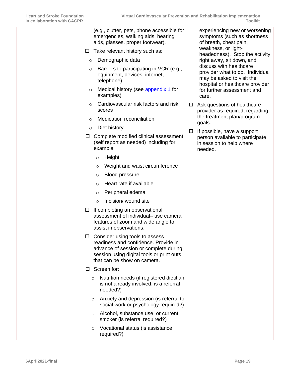| (e.g., clutter, pets, phone accessible for<br>emergencies, walking aids, hearing<br>aids, glasses, proper footwear).                                                                                  | experiencing new or worsening<br>symptoms (such as shortness<br>of breath, chest pain,                                     |
|-------------------------------------------------------------------------------------------------------------------------------------------------------------------------------------------------------|----------------------------------------------------------------------------------------------------------------------------|
| Take relevant history such as:<br>$\Box$                                                                                                                                                              | weakness, or light-<br>headedness). Stop the activity                                                                      |
| Demographic data<br>$\circ$                                                                                                                                                                           | right away, sit down, and                                                                                                  |
| Barriers to participating in VCR (e.g.,<br>$\circ$<br>equipment, devices, internet,<br>telephone)                                                                                                     | discuss with healthcare<br>provider what to do. Individual<br>may be asked to visit the<br>hospital or healthcare provider |
| Medical history (see appendix 1 for<br>$\circ$<br>examples)                                                                                                                                           | for further assessment and<br>care.                                                                                        |
| Cardiovascular risk factors and risk<br>$\circ$<br>scores                                                                                                                                             | Ask questions of healthcare<br>□<br>provider as required, regarding                                                        |
| Medication reconciliation<br>$\circ$                                                                                                                                                                  | the treatment plan/program                                                                                                 |
| Diet history<br>$\circ$                                                                                                                                                                               | goals.                                                                                                                     |
| Complete modified clinical assessment<br>ц<br>(self report as needed) including for<br>example:                                                                                                       | If possible, have a support<br>□<br>person available to participate<br>in session to help where<br>needed.                 |
| Height<br>$\circ$                                                                                                                                                                                     |                                                                                                                            |
| Weight and waist circumference<br>$\circ$                                                                                                                                                             |                                                                                                                            |
| <b>Blood pressure</b><br>$\circ$                                                                                                                                                                      |                                                                                                                            |
| Heart rate if available<br>$\circ$                                                                                                                                                                    |                                                                                                                            |
| Peripheral edema<br>$\circ$                                                                                                                                                                           |                                                                                                                            |
| Incision/ wound site<br>$\circ$                                                                                                                                                                       |                                                                                                                            |
| If completing an observational<br>ш<br>assessment of individual- use camera<br>features of zoom and wide angle to<br>assist in observations.                                                          |                                                                                                                            |
| $\square$ Consider using tools to assess<br>readiness and confidence. Provide in<br>advance of session or complete during<br>session using digital tools or print outs<br>that can be show on camera. |                                                                                                                            |
| $\Box$ Screen for:                                                                                                                                                                                    |                                                                                                                            |
| Nutrition needs (if registered dietitian<br>$\circ$<br>is not already involved, is a referral<br>needed?)                                                                                             |                                                                                                                            |
| Anxiety and depression (is referral to<br>$\circ$<br>social work or psychology required?)                                                                                                             |                                                                                                                            |
| Alcohol, substance use, or current<br>$\circ$<br>smoker (is referral required?)                                                                                                                       |                                                                                                                            |
| Vocational status (is assistance<br>O<br>required?)                                                                                                                                                   |                                                                                                                            |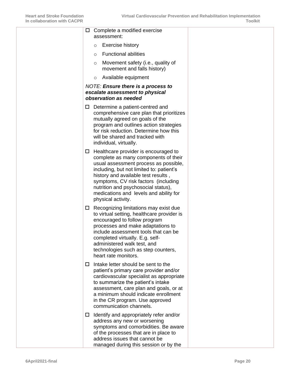| $\Box$ Complete a modified exercise<br>assessment:                                                                                                                                                                                                                                                                                                           |
|--------------------------------------------------------------------------------------------------------------------------------------------------------------------------------------------------------------------------------------------------------------------------------------------------------------------------------------------------------------|
| <b>Exercise history</b><br>$\circ$                                                                                                                                                                                                                                                                                                                           |
| <b>Functional abilities</b><br>$\circ$                                                                                                                                                                                                                                                                                                                       |
| Movement safety (i.e., quality of<br>$\circ$<br>movement and falls history)                                                                                                                                                                                                                                                                                  |
| Available equipment<br>O                                                                                                                                                                                                                                                                                                                                     |
| <b>NOTE: Ensure there is a process to</b><br>escalate assessment to physical<br>observation as needed                                                                                                                                                                                                                                                        |
| Determine a patient-centred and<br>ப<br>comprehensive care plan that prioritizes<br>mutually agreed on goals of the<br>program and outlines action strategies<br>for risk reduction. Determine how this<br>will be shared and tracked with<br>individual, virtually.                                                                                         |
| Healthcare provider is encouraged to<br>ப<br>complete as many components of their<br>usual assessment process as possible,<br>including, but not limited to: patient's<br>history and available test results,<br>symptoms, CV risk factors (including<br>nutrition and psychosocial status),<br>medications and levels and ability for<br>physical activity. |
| Recognizing limitations may exist due<br>$\Box$<br>to virtual setting, healthcare provider is<br>encouraged to follow program<br>processes and make adaptations to<br>include assessment tools that can be<br>completed virtually. E.g. self-<br>administered walk test, and<br>technologies such as step counters,<br>heart rate monitors.                  |
| Intake letter should be sent to the<br>$\Box$<br>patient's primary care provider and/or<br>cardiovascular specialist as appropriate<br>to summarize the patient's intake<br>assessment, care plan and goals, or at<br>a minimum should indicate enrollment<br>in the CR program. Use approved<br>communication channels.                                     |
| Identify and appropriately refer and/or<br>$\Box$<br>address any new or worsening<br>symptoms and comorbidities. Be aware<br>of the processes that are in place to<br>address issues that cannot be<br>managed during this session or by the                                                                                                                 |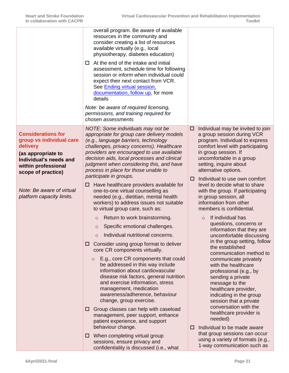<span id="page-20-0"></span>

|                                                                                                                                                                | overall program. Be aware of available<br>resources in the community and<br>consider creating a list of resources<br>available virtually (e.g., local<br>physiotherapy, diabetes education)                                                                                                                                                                                                                                                                                                                                                                                                                                                                    |                                                                                                                                                                                                                                                                                                                                                                                                                                                                                                |
|----------------------------------------------------------------------------------------------------------------------------------------------------------------|----------------------------------------------------------------------------------------------------------------------------------------------------------------------------------------------------------------------------------------------------------------------------------------------------------------------------------------------------------------------------------------------------------------------------------------------------------------------------------------------------------------------------------------------------------------------------------------------------------------------------------------------------------------|------------------------------------------------------------------------------------------------------------------------------------------------------------------------------------------------------------------------------------------------------------------------------------------------------------------------------------------------------------------------------------------------------------------------------------------------------------------------------------------------|
|                                                                                                                                                                | At the end of the intake and initial<br>□<br>assessment, schedule time for following<br>session or inform when individual could<br>expect their next contact from VCR.<br>See Ending virtual session,<br>documentation, follow up, for more<br>details                                                                                                                                                                                                                                                                                                                                                                                                         |                                                                                                                                                                                                                                                                                                                                                                                                                                                                                                |
|                                                                                                                                                                | Note: be aware of required licensing,<br>permissions, and training required for<br>chosen assessments                                                                                                                                                                                                                                                                                                                                                                                                                                                                                                                                                          |                                                                                                                                                                                                                                                                                                                                                                                                                                                                                                |
| <b>Considerations for</b><br>group vs individual care<br>delivery<br>(as appropriate to<br>Individual's needs and<br>within professional<br>scope of practice) | NOTE: Some individuals may not be<br>appropriate for group care delivery models<br>(e.g., language barriers, technology<br>challenges, privacy concerns). Healthcare<br>providers are encouraged to use available<br>decision aids, local processes and clinical<br>judgment when considering this, and have<br>process in place for those unable to<br>participate in groups.                                                                                                                                                                                                                                                                                 | Individual may be invited to join<br>□<br>a group session during VCR<br>program. Individual to express<br>comfort level with participating<br>in group session. If<br>uncomfortable in a group<br>setting, inquire about<br>alternative options.                                                                                                                                                                                                                                               |
| Note: Be aware of virtual<br>platform capacity limits.                                                                                                         | Have healthcare providers available for<br>□<br>one-to-one virtual counselling as<br>needed (e.g., dietitian, mental health<br>workers) to address issues not suitable<br>to virtual group care, such as:                                                                                                                                                                                                                                                                                                                                                                                                                                                      | Individual to use own comfort<br>$\sqcup$<br>level to decide what to share<br>with the group. If participating<br>in group session, all<br>information from other<br>members is confidential.                                                                                                                                                                                                                                                                                                  |
|                                                                                                                                                                | Return to work brainstorming.<br>$\circ$<br>Specific emotional challenges.<br>$\circ$<br>Individual nutritional concerns.<br>$\circ$<br>Consider using group format to deliver<br>□<br>core CR components virtually.<br>E.g., core CR components that could<br>$\circ$<br>be addressed in this way include<br>information about cardiovascular<br>disease risk factors, general nutrition<br>and exercise information, stress<br>management, medication<br>awareness/adherence, behaviour<br>change, group exercise.<br>Group classes can help with caseload<br>ப<br>management, peer support, enhance<br>patient experience, and support<br>behaviour change. | If individual has<br>$\Omega$<br>questions, concerns or<br>information that they are<br>uncomfortable discussing<br>in the group setting, follow<br>the established<br>communication method to<br>communicate privately<br>with the healthcare<br>professional (e.g., by<br>sending a private<br>message to the<br>healthcare provider,<br>indicating in the group<br>session that a private<br>conversation with the<br>healthcare provider is<br>needed)<br>Individual to be made aware<br>Ш |
|                                                                                                                                                                | When completing virtual group<br>$\Box$<br>sessions, ensure privacy and<br>confidentiality is discussed (i.e., what                                                                                                                                                                                                                                                                                                                                                                                                                                                                                                                                            | that group sessions can occur<br>using a variety of formats (e.g.,<br>1-way communication such as                                                                                                                                                                                                                                                                                                                                                                                              |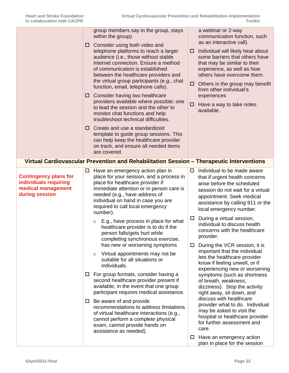<span id="page-21-0"></span>

|                                                                                               | ப<br>□           | group members say in the group, stays<br>within the group).<br>Consider using both video and<br>telephone platforms to reach a larger<br>audience (i.e., those without stable<br>internet connection. Ensure a method<br>of communication is established<br>between the healthcare providers and<br>the virtual group participants (e.g., chat<br>function, email, telephone calls).<br>Consider having two healthcare<br>providers available where possible: one<br>to lead the session and the other to<br>monitor chat functions and help<br>troubleshoot technical difficulties.<br>$\Box$ Create and use a standardized<br>template to guide group sessions. This<br>can help keep the healthcare provider<br>on track, and ensure all needed items<br>are covered.<br>Virtual Cardiovascular Prevention and Rehabilitation Session - Therapeutic Interventions                                                                                                                | □<br>0<br>□                | a webinar or 2-way<br>communication function, such<br>as an interactive call).<br>Individual will likely hear about<br>some barriers that others have<br>that may be similar to their<br>experience, as well as how<br>others have overcome them.<br>Others in the group may benefit<br>from other individual's<br>experiences<br>Have a way to take notes<br>available.                                                                                                                                                                                                                                                                                                                                                                                                                                                                                          |
|-----------------------------------------------------------------------------------------------|------------------|-------------------------------------------------------------------------------------------------------------------------------------------------------------------------------------------------------------------------------------------------------------------------------------------------------------------------------------------------------------------------------------------------------------------------------------------------------------------------------------------------------------------------------------------------------------------------------------------------------------------------------------------------------------------------------------------------------------------------------------------------------------------------------------------------------------------------------------------------------------------------------------------------------------------------------------------------------------------------------------|----------------------------|-------------------------------------------------------------------------------------------------------------------------------------------------------------------------------------------------------------------------------------------------------------------------------------------------------------------------------------------------------------------------------------------------------------------------------------------------------------------------------------------------------------------------------------------------------------------------------------------------------------------------------------------------------------------------------------------------------------------------------------------------------------------------------------------------------------------------------------------------------------------|
|                                                                                               |                  |                                                                                                                                                                                                                                                                                                                                                                                                                                                                                                                                                                                                                                                                                                                                                                                                                                                                                                                                                                                     |                            |                                                                                                                                                                                                                                                                                                                                                                                                                                                                                                                                                                                                                                                                                                                                                                                                                                                                   |
| <b>Contingency plans for</b><br>individuals requiring<br>medical management<br>during session | $\Box$<br>$\Box$ | Have an emergency action plan in<br>place for your session, and a process in<br>place for healthcare provider if<br>immediate attention or in person care is<br>needed (e.g., have address of<br>individual on hand in case you are<br>required to call local emergency<br>number).<br>E.g., have process in place for what<br>$\circ$<br>healthcare provider is to do if the<br>person falls/gets hurt while<br>completing synchronous exercise,<br>has new or worsening symptoms<br>Virtual appointments may not be<br>$\circ$<br>suitable for all situations or<br>individuals.<br>For group formats, consider having a<br>second healthcare provider present if<br>available, in the event that one group<br>participant requires medical assistance.<br>$\Box$ Be aware of and provide<br>recommendations to address limitations<br>of virtual healthcare interactions (e.g.,<br>cannot perform a complete physical<br>exam, cannot provide hands on<br>assistance as needed). | □<br>$\Box$<br>$\Box$<br>ц | Individual to be made aware<br>that if urgent health concerns<br>arise before the scheduled<br>session do not wait for a virtual<br>appointment. Seek medical<br>assistance by calling 911 or the<br>local emergency number.<br>During a virtual session,<br>individual to discuss health<br>concerns with the healthcare<br>provider.<br>During the VCR session, it is<br>important that the individual<br>lets the healthcare provider<br>know if feeling unwell, or if<br>experiencing new or worsening<br>symptoms (such as shortness<br>of breath, weakness,<br>dizziness). Stop the activity<br>right away, sit down, and<br>discuss with healthcare<br>provider what to do. Individual<br>may be asked to visit the<br>hospital or healthcare provider<br>for further assessment and<br>care.<br>Have an emergency action<br>plan in place for the session |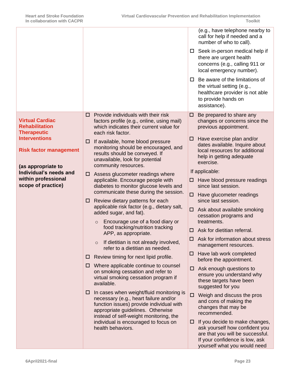<span id="page-22-1"></span><span id="page-22-0"></span>

|                                                                       |                                                                                                                                                                                                                   | (e.g., have telephone nearby to<br>call for help if needed and a<br>number of who to call).                                                                                 |
|-----------------------------------------------------------------------|-------------------------------------------------------------------------------------------------------------------------------------------------------------------------------------------------------------------|-----------------------------------------------------------------------------------------------------------------------------------------------------------------------------|
|                                                                       |                                                                                                                                                                                                                   | $\Box$ Seek in-person medical help if<br>there are urgent health<br>concerns (e.g., calling 911 or<br>local emergency number).                                              |
|                                                                       |                                                                                                                                                                                                                   | $\Box$ Be aware of the limitations of<br>the virtual setting (e.g.,<br>healthcare provider is not able<br>to provide hands on<br>assistance).                               |
| <b>Virtual Cardiac</b><br><b>Rehabilitation</b><br><b>Therapeutic</b> | Provide individuals with their risk<br>□<br>factors profile (e.g., online, using mail)<br>which indicates their current value for<br>each risk factor.                                                            | Be prepared to share any<br>$\Box$<br>changes or concerns since the<br>previous appointment.                                                                                |
| <b>Interventions</b><br><b>Risk factor management</b>                 | If available, home blood pressure<br>⊔<br>monitoring should be encouraged, and<br>results should be conveyed. If<br>unavailable, look for potential<br>community resources.                                       | Have exercise plan and/or<br>□<br>dates available. Inquire about<br>local resources for additional<br>help in getting adequate<br>exercise.                                 |
| (as appropriate to<br>Individual's needs and<br>within professional   | Assess glucometer readings where<br>⊔                                                                                                                                                                             | If applicable:                                                                                                                                                              |
| scope of practice)                                                    | applicable. Encourage people with<br>diabetes to monitor glucose levels and<br>communicate these during the session.                                                                                              | Have blood pressure readings<br>⊔<br>since last session.                                                                                                                    |
|                                                                       | Review dietary patterns for each<br>ப                                                                                                                                                                             | Have glucometer readings<br>□<br>since last session.                                                                                                                        |
|                                                                       | applicable risk factor (e.g., dietary salt,<br>added sugar, and fat).<br>Encourage use of a food diary or<br>$\circ$<br>food tracking/nutrition tracking                                                          | Ask about available smoking<br>□<br>cessation programs and                                                                                                                  |
|                                                                       |                                                                                                                                                                                                                   | treatments.<br>Ask for dietitian referral.<br>□                                                                                                                             |
|                                                                       | APP, as appropriate.<br>If dietitian is not already involved,<br>$\circ$                                                                                                                                          | $\Box$ Ask for information about stress<br>management resources.                                                                                                            |
|                                                                       | refer to a dietitian as needed.<br>Review timing for next lipid profile.<br>⊔                                                                                                                                     | Have lab work completed<br>⊔                                                                                                                                                |
|                                                                       | Where applicable continue to counsel<br>⊔<br>on smoking cessation and refer to<br>virtual smoking cessation program if<br>available.                                                                              | before the appointment.<br>$\Box$ Ask enough questions to<br>ensure you understand why<br>these targets have been<br>suggested for you                                      |
|                                                                       | In cases when weight/fluid monitoring is<br>Ц<br>necessary (e.g., heart failure and/or<br>function issues) provide individual with<br>appropriate guidelines. Otherwise<br>instead of self-weight monitoring, the | Weigh and discuss the pros<br>□<br>and cons of making the<br>changes that may be<br>recommended.                                                                            |
|                                                                       | individual is encouraged to focus on<br>health behaviors.                                                                                                                                                         | If you decide to make changes,<br>⊔<br>ask yourself how confident you<br>are that you will be successful.<br>If your confidence is low, ask<br>yourself what you would need |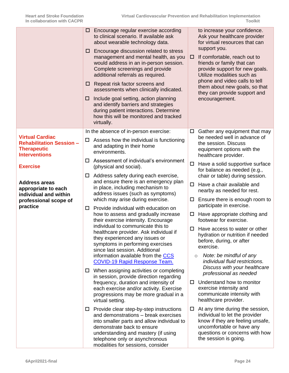<span id="page-23-1"></span><span id="page-23-0"></span>

|                                                            | $\Box$<br>ш<br>$\Box$<br>ப | Encourage regular exercise according<br>to clinical scenario. If available ask<br>about wearable technology data.<br>Encourage discussion related to stress<br>management and mental health, as you<br>would address in an in-person session.<br>Complete screenings and provide<br>additional referrals as required.<br>Repeat risk factor screens and<br>assessments when clinically indicated.<br>Include goal setting, action planning<br>and identify barriers and strategies<br>during patient interactions. Determine<br>how this will be monitored and tracked<br>virtually. | □      | to increase your confidence.<br>Ask your healthcare provider<br>for virtual resources that can<br>support you.<br>If comfortable, reach out to<br>friends or family that can<br>provide support for new goals.<br>Utilize modalities such as<br>phone and video calls to tell<br>them about new goals, so that<br>they can provide support and<br>encouragement. |
|------------------------------------------------------------|----------------------------|--------------------------------------------------------------------------------------------------------------------------------------------------------------------------------------------------------------------------------------------------------------------------------------------------------------------------------------------------------------------------------------------------------------------------------------------------------------------------------------------------------------------------------------------------------------------------------------|--------|------------------------------------------------------------------------------------------------------------------------------------------------------------------------------------------------------------------------------------------------------------------------------------------------------------------------------------------------------------------|
| <b>Virtual Cardiac</b><br><b>Rehabilitation Session -</b>  | □                          | In the absence of in-person exercise:<br>Assess how the individual is functioning                                                                                                                                                                                                                                                                                                                                                                                                                                                                                                    | $\Box$ | Gather any equipment that may<br>be needed well in advance of<br>the session. Discuss                                                                                                                                                                                                                                                                            |
| <b>Therapeutic</b><br><b>Interventions</b>                 |                            | and adapting in their home<br>environments.                                                                                                                                                                                                                                                                                                                                                                                                                                                                                                                                          |        | equipment options with the<br>healthcare provider.                                                                                                                                                                                                                                                                                                               |
| <b>Exercise</b>                                            | □                          | Assessment of individual's environment<br>(physical and social).                                                                                                                                                                                                                                                                                                                                                                                                                                                                                                                     | $\Box$ | Have a solid supportive surface<br>for balance as needed (e.g.,                                                                                                                                                                                                                                                                                                  |
| <b>Address areas</b><br>appropriate to each                | $\Box$                     | Address safety during each exercise,<br>and ensure there is an emergency plan<br>in place, including mechanism to                                                                                                                                                                                                                                                                                                                                                                                                                                                                    | □      | chair or table) during session.<br>Have a chair available and<br>nearby as needed for rest.                                                                                                                                                                                                                                                                      |
| individual and within<br>professional scope of<br>practice |                            | address issues (such as symptoms)<br>which may arise during exercise.                                                                                                                                                                                                                                                                                                                                                                                                                                                                                                                | ц      | Ensure there is enough room to<br>participate in exercise.                                                                                                                                                                                                                                                                                                       |
|                                                            | □                          | Provide individual with education on<br>how to assess and gradually increase<br>their exercise intensity. Encourage                                                                                                                                                                                                                                                                                                                                                                                                                                                                  | ш      | Have appropriate clothing and<br>footwear for exercise.                                                                                                                                                                                                                                                                                                          |
|                                                            |                            | individual to communicate this to<br>healthcare provider. Ask individual if<br>they experienced any issues or<br>symptoms in performing exercises<br>since last session. Additional                                                                                                                                                                                                                                                                                                                                                                                                  | □      | Have access to water or other<br>hydration or nutrition if needed<br>before, during, or after<br>exercise.                                                                                                                                                                                                                                                       |
|                                                            | ш                          | information available from the CCS<br><b>COVID-19 Rapid Response Team.</b><br>When assigning activities or completing                                                                                                                                                                                                                                                                                                                                                                                                                                                                |        | Note: be mindful of any<br>$\circ$<br>individual fluid restrictions.<br>Discuss with your healthcare                                                                                                                                                                                                                                                             |
|                                                            |                            | in session, provide direction regarding<br>frequency, duration and intensity of<br>each exercise and/or activity. Exercise<br>progressions may be more gradual in a<br>virtual setting.                                                                                                                                                                                                                                                                                                                                                                                              | ப      | professional as needed<br>Understand how to monitor<br>exercise intensity and<br>communicate intensity with<br>healthcare provider.                                                                                                                                                                                                                              |
|                                                            | $\Box$                     | Provide clear step-by-step instructions<br>and demonstrations - break exercises<br>into smaller parts and allow individual to<br>demonstrate back to ensure<br>understanding and mastery (if using<br>telephone only or asynchronous<br>modalities for sessions, consider                                                                                                                                                                                                                                                                                                            | ப      | At any time during the session,<br>individual to let the provider<br>know if they are feeling unsafe,<br>uncomfortable or have any<br>questions or concerns with how<br>the session is going.                                                                                                                                                                    |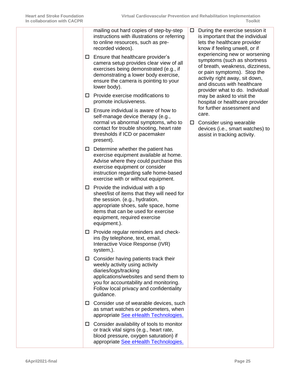|        | mailing out hard copies of step-by-step<br>instructions with illustrations or referring<br>to online resources, such as pre-<br>recorded videos).                                                                                                       | □      | During the exercise session it<br>is important that the individual<br>lets the healthcare provider<br>know if feeling unwell, or if                                                                                                |
|--------|---------------------------------------------------------------------------------------------------------------------------------------------------------------------------------------------------------------------------------------------------------|--------|------------------------------------------------------------------------------------------------------------------------------------------------------------------------------------------------------------------------------------|
| $\Box$ | Ensure that healthcare provider's<br>camera setup provides clear view of all<br>exercises being demonstrated (e.g., if<br>demonstrating a lower body exercise,<br>ensure the camera is pointing to your<br>lower body).                                 |        | experiencing new or worsening<br>symptoms (such as shortness<br>of breath, weakness, dizziness,<br>or pain symptoms). Stop the<br>activity right away, sit down,<br>and discuss with healthcare<br>provider what to do. Individual |
| ப      | Provide exercise modifications to<br>promote inclusiveness.                                                                                                                                                                                             |        | may be asked to visit the<br>hospital or healthcare provider                                                                                                                                                                       |
| $\Box$ | Ensure individual is aware of how to<br>self-manage device therapy (e.g.,<br>normal vs abnormal symptoms, who to<br>contact for trouble shooting, heart rate<br>thresholds if ICD or pacemaker<br>present).                                             | $\Box$ | for further assessment and<br>care.<br>Consider using wearable<br>devices (i.e., smart watches) to<br>assist in tracking activity.                                                                                                 |
|        | $\Box$ Determine whether the patient has<br>exercise equipment available at home.<br>Advise where they could purchase this<br>exercise equipment or consider<br>instruction regarding safe home-based<br>exercise with or without equipment.            |        |                                                                                                                                                                                                                                    |
|        | $\Box$ Provide the individual with a tip<br>sheet/list of items that they will need for<br>the session. (e.g., hydration,<br>appropriate shoes, safe space, home<br>items that can be used for exercise<br>equipment, required exercise<br>equipment.). |        |                                                                                                                                                                                                                                    |
|        | $\Box$ Provide regular reminders and check-<br>ins (by telephone, text, email,<br>Interactive Voice Response (IVR)<br>system,).                                                                                                                         |        |                                                                                                                                                                                                                                    |
|        | $\Box$ Consider having patients track their<br>weekly activity using activity<br>diaries/logs/tracking<br>applications/websites and send them to<br>you for accountability and monitoring.<br>Follow local privacy and confidentiality<br>guidance.     |        |                                                                                                                                                                                                                                    |
|        | $\Box$ Consider use of wearable devices, such<br>as smart watches or pedometers, when<br>appropriate See eHealth Technologies.                                                                                                                          |        |                                                                                                                                                                                                                                    |
| □      | Consider availability of tools to monitor<br>or track vital signs (e.g., heart rate,<br>blood pressure, oxygen saturation) if<br>appropriate See eHealth Technologies.                                                                                  |        |                                                                                                                                                                                                                                    |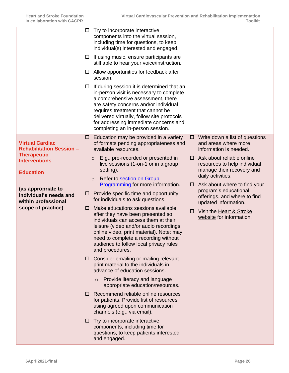<span id="page-25-1"></span><span id="page-25-0"></span>

|                                                                                           | □      | Try to incorporate interactive<br>components into the virtual session,<br>including time for questions, to keep<br>individual(s) interested and engaged.                                                                                                                                                                             |        |                                                                                        |
|-------------------------------------------------------------------------------------------|--------|--------------------------------------------------------------------------------------------------------------------------------------------------------------------------------------------------------------------------------------------------------------------------------------------------------------------------------------|--------|----------------------------------------------------------------------------------------|
|                                                                                           | $\Box$ | If using music, ensure participants are<br>still able to hear your voice/instruction.                                                                                                                                                                                                                                                |        |                                                                                        |
|                                                                                           | □      | Allow opportunities for feedback after<br>session.                                                                                                                                                                                                                                                                                   |        |                                                                                        |
|                                                                                           | □      | If during session it is determined that an<br>in-person visit is necessary to complete<br>a comprehensive assessment, there<br>are safety concerns and/or individual<br>requires treatment that cannot be<br>delivered virtually, follow site protocols<br>for addressing immediate concerns and<br>completing an in-person session. |        |                                                                                        |
| <b>Virtual Cardiac</b><br><b>Rehabilitation Session -</b>                                 | □      | Education may be provided in a variety<br>of formats pending appropriateness and<br>available resources.                                                                                                                                                                                                                             | 0      | Write down a list of questions<br>and areas where more<br>information is needed.       |
| <b>Therapeutic</b><br><b>Interventions</b><br><b>Education</b>                            |        | E.g., pre-recorded or presented in<br>$\circ$<br>live sessions (1-on-1 or in a group<br>setting).                                                                                                                                                                                                                                    | 0      | Ask about reliable online<br>resources to help individual<br>manage their recovery and |
|                                                                                           |        | Refer to section on Group<br>$\circ$<br>Programming for more information.                                                                                                                                                                                                                                                            | $\Box$ | daily activities.<br>Ask about where to find your                                      |
| (as appropriate to<br>Individual's needs and<br>within professional<br>scope of practice) | □      | Provide specific time and opportunity<br>for individuals to ask questions.                                                                                                                                                                                                                                                           |        | program's educational<br>offerings, and where to find<br>updated information.          |
|                                                                                           | □      | Make educations sessions available<br>after they have been presented so<br>individuals can access them at their<br>leisure (video and/or audio recordings,<br>online video, print material). Note: may<br>need to complete a recording without<br>audience to follow local privacy rules<br>and procedures.                          | □      | Visit the Heart & Stroke<br>website for information.                                   |
|                                                                                           | □      | Consider emailing or mailing relevant<br>print material to the individuals in<br>advance of education sessions.                                                                                                                                                                                                                      |        |                                                                                        |
|                                                                                           |        | Provide literacy and language<br>$\circ$<br>appropriate education/resources.                                                                                                                                                                                                                                                         |        |                                                                                        |
|                                                                                           | □      | Recommend reliable online resources<br>for patients. Provide list of resources<br>using agreed upon communication<br>channels (e.g., via email).                                                                                                                                                                                     |        |                                                                                        |
|                                                                                           | □      | Try to incorporate interactive<br>components, including time for<br>questions, to keep patients interested<br>and engaged.                                                                                                                                                                                                           |        |                                                                                        |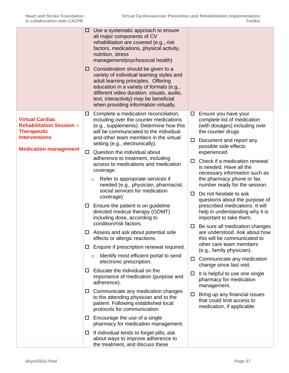<span id="page-26-1"></span><span id="page-26-0"></span>

| management/psychosocial health)<br>Consideration should be given to a<br>□<br>variety of individual learning styles and<br>adult learning principles. Offering<br>education in a variety of formats (e.g.,<br>different video duration, visuals, audio,<br>text, interactivity) may be beneficial<br>when providing information virtually.                                                                                                                                                                                                                                                                                                                                                                                                                                                                                                                                                                                                                                                                                                                                                                                                                                                                                                                                                                                                                                                                                                                                                                                                                                                                                                                                                                                                                                                                                                                                                                                                                                                                                                                                                                                                                                            |                                                                                                                                                                                                                                                                                                             |
|---------------------------------------------------------------------------------------------------------------------------------------------------------------------------------------------------------------------------------------------------------------------------------------------------------------------------------------------------------------------------------------------------------------------------------------------------------------------------------------------------------------------------------------------------------------------------------------------------------------------------------------------------------------------------------------------------------------------------------------------------------------------------------------------------------------------------------------------------------------------------------------------------------------------------------------------------------------------------------------------------------------------------------------------------------------------------------------------------------------------------------------------------------------------------------------------------------------------------------------------------------------------------------------------------------------------------------------------------------------------------------------------------------------------------------------------------------------------------------------------------------------------------------------------------------------------------------------------------------------------------------------------------------------------------------------------------------------------------------------------------------------------------------------------------------------------------------------------------------------------------------------------------------------------------------------------------------------------------------------------------------------------------------------------------------------------------------------------------------------------------------------------------------------------------------------|-------------------------------------------------------------------------------------------------------------------------------------------------------------------------------------------------------------------------------------------------------------------------------------------------------------|
| Complete a medication reconciliation,<br>Ensure you have your<br>$\Box$<br>$\Box$<br><b>Virtual Cardiac</b><br>including over the counter medications<br>complete list of medication<br><b>Rehabilitation Session -</b><br>(e.g., supplements). Determine how this<br><b>Therapeutic</b><br>will be communicated to the individual<br>the counter drugs<br><b>Interventions</b><br>and other team members in the virtual<br>Document and report any<br>$\Box$<br>setting (e.g., electronically).<br>possible side effects<br><b>Medication management</b><br>Question the individual about<br>experienced.<br>$\Box$<br>adherence to treatment, including<br>0.<br>access to medications and medication<br>is needed. Have all the<br>coverage.<br>Refer to appropriate services if<br>the pharmacy phone or fax<br>$\circ$<br>needed (e.g., physician, pharmacist,<br>social services for medication<br>Do not hesitate to ask<br>0<br>coverage)<br>Ensure the patient is on guideline<br>$\Box$<br>directed medical therapy (GDMT)<br>including dose, according to<br>important to take them.<br>condition/risk factors.<br>□<br>Assess and ask about potential side<br>ш<br>this will be communicated to<br>effects or allergic reactions.<br>other care team members<br>Enquire if prescription renewal required.<br>$\Box$<br>(e.g., family physician).<br>Identify most efficient portal to send<br>$\circ$<br>$\Box$ Communicate any medication<br>electronic prescription.<br>change since last visit.<br>Educate the individual on the<br>ப<br>It is helpful to use one single<br>$\Box$<br>importance of medication (purpose and<br>pharmacy for medication<br>adherence).<br>management.<br>Communicate any medication changes<br>$\Box$<br>Bring up any financial issues<br>ப<br>to the attending physician and to the<br>that could limit access to<br>patient. Following established local<br>medication, if applicable.<br>protocols for communication.<br>$\Box$ Encourage the use of a single<br>pharmacy for medication management.<br>If individual tends to forget pills, ask<br>$\Box$<br>about ways to improve adherence to<br>the treatment, and discuss these | (with dosages) including over<br>Check if a medication renewal<br>necessary information such as<br>number ready for the session.<br>questions about the purpose of<br>prescribed medications. It will<br>help in understanding why it is<br>Be sure all medication changes<br>are understood. Ask about how |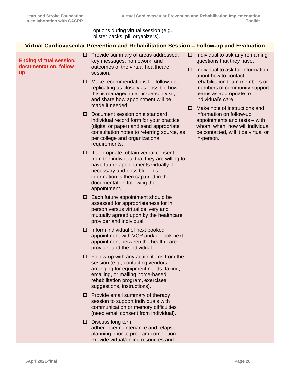<span id="page-27-0"></span>

|                                                               |    | options during virtual session (e.g.,<br>blister packs, pill organizers).                                                                                                                                                                            |                                                                                                                                                                                    |                                                                                                                           |
|---------------------------------------------------------------|----|------------------------------------------------------------------------------------------------------------------------------------------------------------------------------------------------------------------------------------------------------|------------------------------------------------------------------------------------------------------------------------------------------------------------------------------------|---------------------------------------------------------------------------------------------------------------------------|
|                                                               |    | Virtual Cardiovascular Prevention and Rehabilitation Session - Follow-up and Evaluation                                                                                                                                                              |                                                                                                                                                                                    |                                                                                                                           |
| <b>Ending virtual session,</b><br>documentation, follow<br>up | 0  | Provide summary of areas addressed,<br>key messages, homework, and<br>outcomes of the virtual healthcare<br>session.                                                                                                                                 | 0<br>L.                                                                                                                                                                            | Individual to ask any remaining<br>questions that they have.<br>Individual to ask for information<br>about how to contact |
|                                                               | ப  | Make recommendations for follow-up,<br>replicating as closely as possible how<br>this is managed in an in-person visit,<br>and share how appointment will be<br>made if needed.                                                                      |                                                                                                                                                                                    | rehabilitation team members or<br>members of community support<br>teams as appropriate to<br>individual's care.           |
|                                                               | ப  | ப<br>Document session on a standard<br>individual record form for your practice<br>(digital or paper) and send appropriate<br>consultation notes to referring source, as<br>per college and organizational<br>requirements.                          | Make note of instructions and<br>information on follow-up<br>appointments and tests - with<br>whom, when, how will individual<br>be contacted, will it be virtual or<br>in-person. |                                                                                                                           |
|                                                               | ப  | If appropriate, obtain verbal consent<br>from the individual that they are willing to<br>have future appointments virtually if<br>necessary and possible. This<br>information is then captured in the<br>documentation following the<br>appointment. |                                                                                                                                                                                    |                                                                                                                           |
|                                                               | ш  | Each future appointment should be<br>assessed for appropriateness for in<br>person versus virtual delivery and<br>mutually agreed upon by the healthcare<br>provider and individual.                                                                 |                                                                                                                                                                                    |                                                                                                                           |
|                                                               | ப  | Inform individual of next booked<br>appointment with VCR and/or book next<br>appointment between the health care<br>provider and the individual.                                                                                                     |                                                                                                                                                                                    |                                                                                                                           |
|                                                               | ப  | Follow-up with any action items from the<br>session (e.g., contacting vendors,<br>arranging for equipment needs, faxing,<br>emailing, or mailing home-based<br>rehabilitation program, exercises,<br>suggestions, instructions).                     |                                                                                                                                                                                    |                                                                                                                           |
|                                                               | O. | Provide email summary of therapy<br>session to support individuals with<br>communication or memory difficulties<br>(need email consent from individual).                                                                                             |                                                                                                                                                                                    |                                                                                                                           |
|                                                               | ப  | Discuss long term<br>adherence/maintenance and relapse<br>planning prior to program completion.<br>Provide virtual/online resources and                                                                                                              |                                                                                                                                                                                    |                                                                                                                           |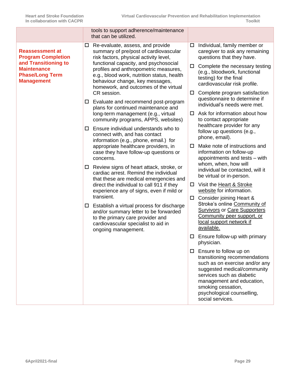<span id="page-28-1"></span><span id="page-28-0"></span>

|                                                                                                                                                  |                       | tools to support adherence/maintenance<br>that can be utilized.                                                                                                                                                                                                                                                                                                                                                                                                                                                                                                                                                                                                                                                                                                                                                                                                                                                                                                                                                                                                                                                                   |                  |                                                                                                                                                                                                                                                                                                                                                                                                                                                                                                                                                                   |
|--------------------------------------------------------------------------------------------------------------------------------------------------|-----------------------|-----------------------------------------------------------------------------------------------------------------------------------------------------------------------------------------------------------------------------------------------------------------------------------------------------------------------------------------------------------------------------------------------------------------------------------------------------------------------------------------------------------------------------------------------------------------------------------------------------------------------------------------------------------------------------------------------------------------------------------------------------------------------------------------------------------------------------------------------------------------------------------------------------------------------------------------------------------------------------------------------------------------------------------------------------------------------------------------------------------------------------------|------------------|-------------------------------------------------------------------------------------------------------------------------------------------------------------------------------------------------------------------------------------------------------------------------------------------------------------------------------------------------------------------------------------------------------------------------------------------------------------------------------------------------------------------------------------------------------------------|
| <b>Reassessment at</b><br><b>Program Completion</b><br>and Transitioning to<br><b>Maintenance</b><br><b>Phase/Long Term</b><br><b>Management</b> | $\Box$<br>$\Box$<br>□ | Re-evaluate, assess, and provide<br>summary of pre/post of cardiovascular<br>risk factors, physical activity level,<br>functional capacity, and psychosocial<br>profiles and anthropometric measures,<br>e.g., blood work, nutrition status, health<br>behaviour change, key messages,<br>homework, and outcomes of the virtual<br>CR session.<br>Evaluate and recommend post-program<br>plans for continued maintenance and<br>long-term management (e.g., virtual<br>community programs, APPS, websites)<br>Ensure individual understands who to<br>connect with, and has contact<br>information (e.g., phone, email.) for<br>appropriate healthcare providers, in<br>case they have follow-up questions or<br>concerns.<br>Review signs of heart attack, stroke, or<br>cardiac arrest. Remind the individual<br>that these are medical emergencies and<br>direct the individual to call 911 if they<br>experience any of signs, even if mild or<br>transient.<br>Establish a virtual process for discharge<br>and/or summary letter to be forwarded<br>to the primary care provider and<br>cardiovascular specialist to aid in | □<br>ц<br>□<br>□ | Individual, family member or<br>caregiver to ask any remaining<br>questions that they have.<br>Complete the necessary testing<br>(e.g., bloodwork, functional<br>testing) for the final<br>cardiovascular risk profile.<br>Complete program satisfaction<br>questionnaire to determine if<br>individual's needs were met.<br>Ask for information about how<br>to contact appropriate<br>healthcare provider for any<br>follow up questions (e.g.,<br>phone, email).<br>Make note of instructions and<br>information on follow-up<br>appointments and tests - with |
|                                                                                                                                                  | ш<br>□                |                                                                                                                                                                                                                                                                                                                                                                                                                                                                                                                                                                                                                                                                                                                                                                                                                                                                                                                                                                                                                                                                                                                                   | $\Box$           | whom, when, how will<br>individual be contacted, will it<br>be virtual or in-person.<br>Visit the Heart & Stroke<br>website for information.<br>$\Box$ Consider joining Heart &<br>Stroke's online Community of<br><b>Survivors or Care Supporters</b><br>Community peer support, or<br>local support network if                                                                                                                                                                                                                                                  |
|                                                                                                                                                  |                       | ongoing management.                                                                                                                                                                                                                                                                                                                                                                                                                                                                                                                                                                                                                                                                                                                                                                                                                                                                                                                                                                                                                                                                                                               | $\Box$           | available.<br>Ensure follow-up with primary<br>physician.<br>$\square$ Ensure to follow up on<br>transitioning recommendations<br>such as on exercise and/or any<br>suggested medical/community<br>services such as diabetic<br>management and education,<br>smoking cessation,<br>psychological counselling,<br>social services.                                                                                                                                                                                                                                 |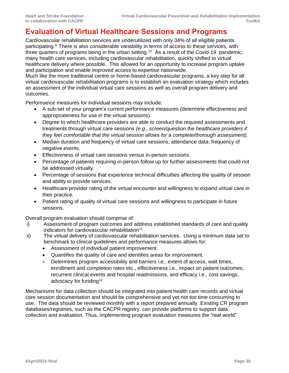# **Evaluation of Virtual Healthcare Sessions and Programs**

Cardiovascular rehabilitation services are underutilized with only 34% of all eligible patients participating.<sup>9</sup> There is also considerable variability in terms of access to these services, with three quarters of programs being in the urban setting.<sup>10</sup> As a result of the Covid-19 pandemic, many health care services, including cardiovascular rehabilitation, quickly shifted to virtual healthcare delivery where possible. This allowed for an opportunity to increase program uptake and participation and enable improved access to expertise nationwide.

Much like the more traditional centre or home-based cardiovascular programs, a key step for all virtual cardiovascular rehabilitation programs is to establish an evaluation strategy which includes an assessment of the individual virtual care sessions as well as overall program delivery and outcomes.

Performance measures for individual sessions *may* include:

- A sub-set of your program's current performance measures (determine effectiveness and appropriateness for use in the virtual sessions).
- Degree to which healthcare providers are able to conduct the required assessments and treatments through virtual care sessions *(e.g., screen/question the healthcare providers if they feel comfortable that the virtual session allows for a complete/thorough assessment).*
- Median duration and frequency of virtual care sessions; attendance data; frequency of negative events.
- Effectiveness of virtual care sessions versus in-person *sessions.*
- Percentage of patients requiring in-person follow up for further assessments that could not be addressed virtually.
- Percentage of sessions that experience technical difficulties affecting the quality of session and ability to provide services.
- Healthcare provider rating of the virtual encounter and willingness to expand virtual care in their practice.
- Patient rating of quality of virtual care sessions and willingness to participate in future sessions.

Overall program evaluation should comprise of:

- i) Assessment of program outcomes and address established standards of care and quality indicators for cardiovascular rehabilitation<sup>11</sup>
- ii) The virtual delivery of cardiovascular rehabilitation services. Using a minimum data set to benchmark to clinical guidelines and performance measures allows for:
	- Assessment of individual patient improvement.
	- Quantifies the quality of care and identifies areas for improvement.
	- Determines program accessibility and barriers i.e., extent of access, wait times, enrollment and completion rates etc., effectiveness i.e., impact on patient outcomes, recurrent clinical events and hospital readmissions, and efficacy i.e., cost savings, advocacy for funding<sup>12</sup>

Mechanisms for data collection should be integrated into patient health care records and virtual care session documentation and should be comprehensive and yet not too time consuming to use. The data should be reviewed monthly with a report prepared annually. Existing CR program databases/registries, such as the CACPR registry, can provide platforms to support data collection and evaluation. Thus, implementing program evaluation measures the "real world"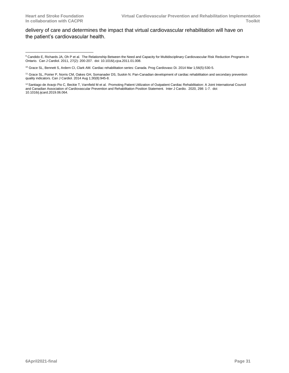<span id="page-30-0"></span>delivery of care and determines the impact that virtual cardiovascular rehabilitation will have on the patient's cardiovascular health.

<sup>9</sup> Candido E, Richards JA, Oh P et al. The Relationship Between the Need and Capacity for Multidisciplinary Cardiovascular Risk Reduction Programs in Ontario. Can J Cardiol. 2011, 27(2): 200-207. doi: 10.1016/j.cjca.2011.01.008.

<sup>10</sup> Grace SL, Bennett S, Ardern CI, Clark AM. Cardiac rehabilitation series: Canada. Prog Cardiovasc Di. 2014 Mar 1;56(5):530-5.

<sup>11</sup> Grace SL, Poirier P, Norris CM, Oakes GH, Somanader DS, Suskin N. Pan-Canadian development of cardiac rehabilitation and secondary prevention quality indicators. Can J Cardiol. 2014 Aug 1;30(8):945-8.

<sup>&</sup>lt;sup>12</sup> Santiago de Aravio Pio C, Beckie T, Varnfield M et al. Promoting Patient Utilization of Outpatient Cardiac Rehabilitation: A Joint International Council and Canadian Association of Cardiovascular Prevention and Rehabilitation Position Statement. Inter J Cardio. 2020, 298: 1-7. doi: 10.1016/j.ijcard.2019.06.064.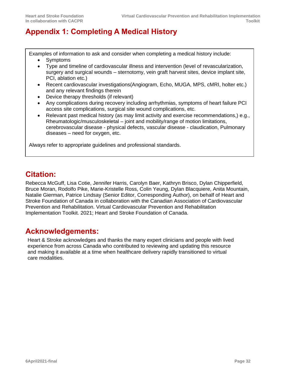# **Appendix 1: Completing A Medical History**

Examples of information to ask and consider when completing a medical history include:

- **Symptoms**
- Type and timeline of cardiovascular illness and intervention (level of revascularization, surgery and surgical wounds – sternotomy, vein graft harvest sites, device implant site, PCI, ablation etc.)
- Recent cardiovascular investigations(Angiogram, Echo, MUGA, MPS, cMRI, holter etc.) and any relevant findings therein
- Device therapy thresholds (if relevant)
- Any complications during recovery including arrhythmias, symptoms of heart failure PCI access site complications, surgical site wound complications, etc.
- Relevant past medical history (as may limit activity and exercise recommendations,) e.g., Rheumatologic/musculoskeletal – joint and mobility/range of motion limitations, cerebrovascular disease - physical defects, vascular disease - claudication, Pulmonary diseases – need for oxygen, etc.

Always refer to appropriate guidelines and professional standards.

# <span id="page-31-0"></span>**Citation:**

Rebecca McGuff, Lisa Cotie, Jennifer Harris, Carolyn Baer, Kathryn Brisco, Dylan Chipperfield, Bruce Moran, Rodolfo Pike, Marie-Kristelle Ross, Colin Yeung, Dylan Blacquiere, Anita Mountain, Natalie Gierman, Patrice Lindsay (Senior Editor, Corresponding Author), on behalf of Heart and Stroke Foundation of Canada in collaboration with the Canadian Association of Cardiovascular Prevention and Rehabilitation. Virtual Cardiovascular Prevention and Rehabilitation Implementation Toolkit. 2021; Heart and Stroke Foundation of Canada.

## <span id="page-31-1"></span>**Acknowledgements:**

Heart & Stroke acknowledges and thanks the many expert clinicians and people with lived experience from across Canada who contributed to reviewing and updating this resource and making it available at a time when healthcare delivery rapidly transitioned to virtual care modalities.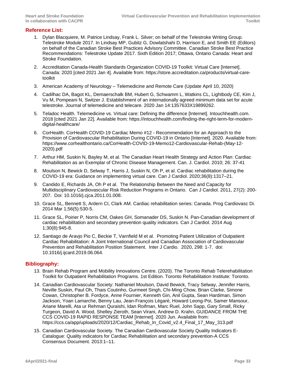#### <span id="page-32-0"></span>**Reference List:**

- 1. Dylan Blacquiere, M. Patrice Lindsay, Frank L. Silver; on behalf of the Telestroke Writing Group. Telestroke Module 2017. In Lindsay MP, Gubitz G, Dowlatshahi D, Harrison E, and Smith EE (Editors) on behalf of the Canadian Stroke Best Practices Advisory Committee. Canadian Stroke Best Practice Recommendations: Telestroke Update 2017. Sixth Edition 2017; Ottawa, Ontario Canada: Heart and Stroke Foundation.
- 2. Accreditation Canada-Health Standards Organization COVID-19 Toolkit: Virtual Care [Internet]. Canada: 2020 [cited 2021 Jan 4]. Available from: [https://store.accreditation.ca/products/virtual-care](https://store.accreditation.ca/products/virtual-care-toolkit)[toolkit](https://store.accreditation.ca/products/virtual-care-toolkit)
- 3. American Academy of Neurology [Telemedicine and Remote Care](https://www.aan.com/tools-and-resources/practicing-neurologists-administrators/telemedicine-and-remote-care/) (Update April 10, 2020)
- 4. Cadilhac DA, Bagot KL, Demaerschalk BM, Hubert G, Schwamm L, Watkins CL, Lightbody CE, Kim J, Vu M, Pompeani N, Switzer J. Establishment of an internationally agreed minimum data set for acute telestroke. Journal of telemedicine and telecare. 2020 Jan 14:1357633X19899262.
- 5. Teladoc Health. Telemedicine vs. Virtual care: Defining the difference [Internet]. Intouchhealth.com. 2018 [cited 2021 Jan 22]. Available from: [https://intouchhealth.com/finding-the-right-term-for-modern](https://intouchhealth.com/finding-the-right-term-for-modern-digital-healthcare/)[digital-healthcare/](https://intouchhealth.com/finding-the-right-term-for-modern-digital-healthcare/)
- 6. CorHealth. CorHealth COVID-19 Cardiac Memo #12 Recommendation for an Approach to the Provision of Cardiovascular Rehabilitation During COVID-19 in Ontario [Internet]. 2020. Available from: [https://www.corhealthontario.ca/CorHealth-COVID-19-Memo12-Cardiovascular-Rehab-\(May-12-](https://www.corhealthontario.ca/CorHealth-COVID-19-Memo12-Cardiovascular-Rehab-(May-12-2020).pdf) [2020\).pdf](https://www.corhealthontario.ca/CorHealth-COVID-19-Memo12-Cardiovascular-Rehab-(May-12-2020).pdf)
- 7. Arthur HM, Suskin N, Bayley M, et al. The Canadian Heart Health Strategy and Action Plan: Cardiac Rehabilitation as an Exemplar of Chronic Disease Management. Can. J. Cardiol. 2010; 26: 37-41
- 8. Moulson N, Bewick D, Selway T, Harris J, Suskin N, Oh P, et al. Cardiac rehabilitation during the COVID-19 era: Guidance on implementing virtual care. Can J Cardiol. 2020;36(8):1317–21.
- 9. Candido E, Richards JA, Oh P et al. The Relationship Between the Need and Capacity for Multidisciplinary Cardiovascular Risk Reduction Programs in Ontario. Can J Cardiol. 2011, 27(2): 200- 207. Doi: 10.1016/j.cjca.2011.01.008.
- 10. Grace SL, Bennett S, Ardern CI, Clark AM. Cardiac rehabilitation series: Canada. Prog Cardiovasc Di. 2014 Mar 1;56(5):530-5.
- 11. Grace SL, Poirier P, Norris CM, Oakes GH, Somanader DS, Suskin N. Pan-Canadian development of cardiac rehabilitation and secondary prevention quality indicators. Can J Cardiol. 2014 Aug 1;30(8):945-8.
- 12. Santiago de Aravjo Pio C, Beckie T, Varnfield M et al. Promoting Patient Utilization of Outpatient Cardiac Rehabilitation: A Joint International Council and Canadian Association of Cardiovascular Prevention and Rehabilitation Position Statement. Inter J Cardio. 2020, 298: 1-7. doi: 10.1016/j.ijcard.2019.06.064.

#### <span id="page-32-1"></span>**Bibliography:**

- 13. Brain Rehab Program and Mobility Innovations Centre. (2020). The Toronto Rehab Telerehabilitation Toolkit for Outpatient Rehabilitation Programs. 1st Edition. Toronto Rehabilitation Institute: Toronto.
- 14. Canadian Cardiovascular Society: Nathaniel Moulson, David Bewick, Tracy Selway, Jennifer Harris, Neville Suskin, Paul Oh, Thais Coutinho, Gurmeet Singh, Chi-Ming Chow, Brian Clarke, Simone Cowan, Christopher B. Fordyce, Anne Fournier, Kenneth Gin, Anil Gupta, Sean Hardiman, Simon Jackson, Yoan Lamarche, Benny Lau, Jean-François Légaré, Howard Leong-Poi, Samer Mansour, Ariane Marelli, Ata ur Rehman Quraishi, Idan Roifman, Marc Ruel, John Sapp, Gary Small, Ricky Turgeon, David A. Wood, Shelley Zieroth, Sean Virani, Andrew D. Krahn. GUIDANCE FROM THE CCS COVID-19 RAPID RESPONSE TEAM [Internet]. 2020 Jun. Available from: https://ccs.ca/app/uploads/2020/12/Cardiac\_Rehab\_In\_Covid\_v2.4\_Final\_17\_May\_313.pdf
- 15. Canadian Cardiovascular Society. The Canadian Cardiovascular Society Quality Indicators E-Catalogue: Quality indicators for Cardiac Rehabilitation and secondary prevention-A CCS Consensus Document. 2013:1–11.